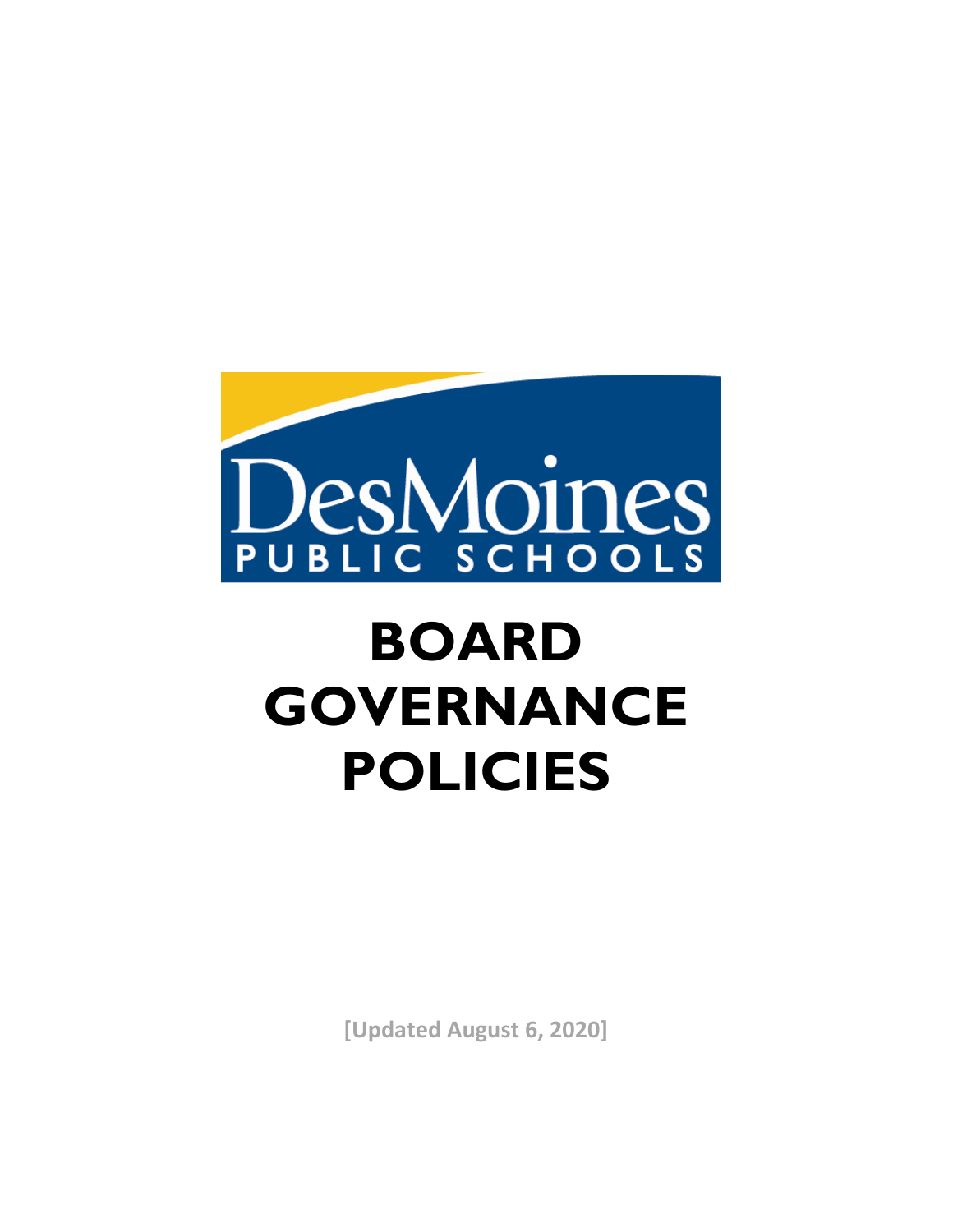

# **BOARD GOVERNANCE POLICIES**

**[Updated August 6, 2020]**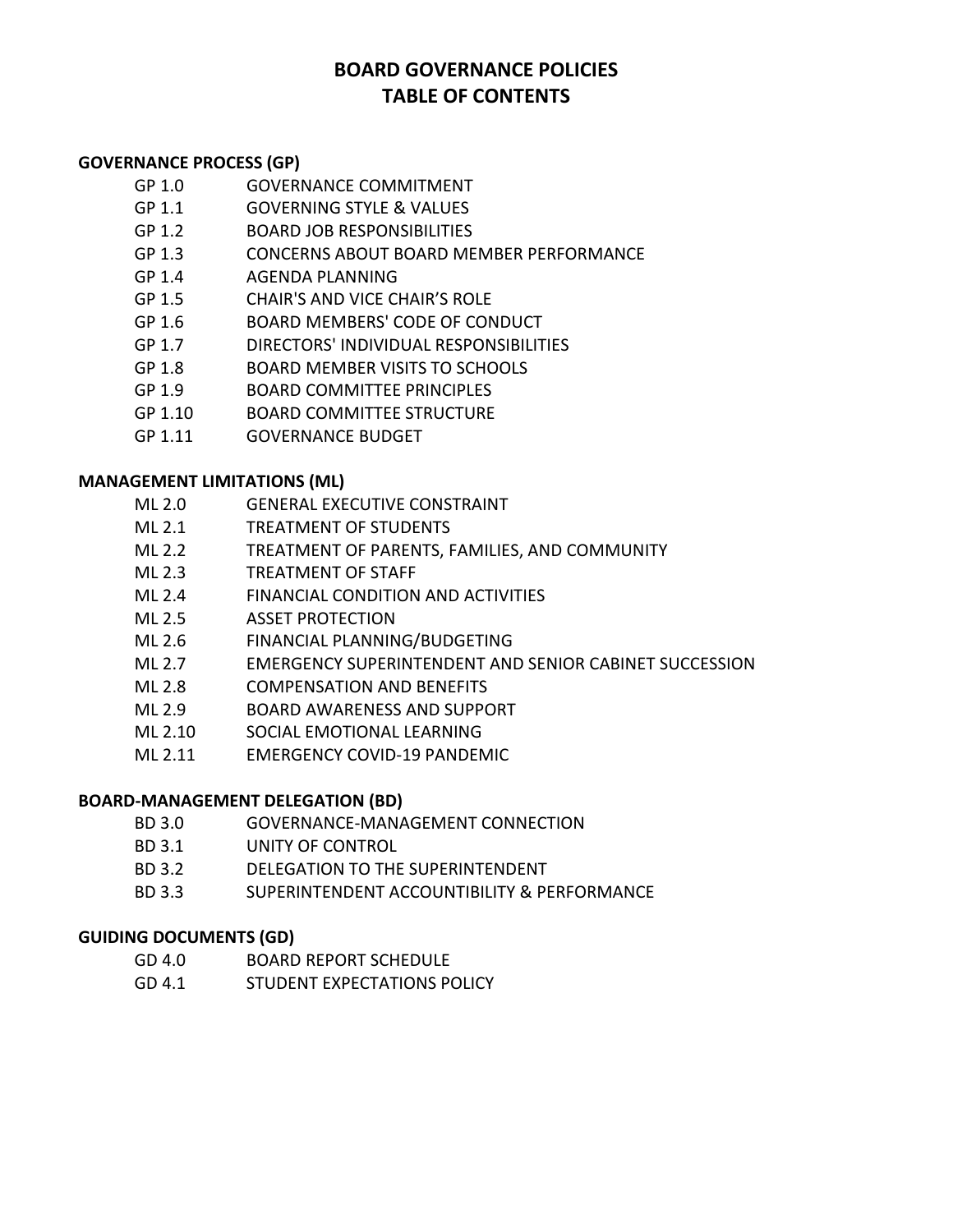# **BOARD GOVERNANCE POLICIES TABLE OF CONTENTS**

# **GOVERNANCE PROCESS (GP)**

- GP 1.0 GOVERNANCE COMMITMENT
- GP 1.1 GOVERNING STYLE & VALUES
- GP 1.2 BOARD JOB RESPONSIBILITIES
- GP 1.3 CONCERNS ABOUT BOARD MEMBER PERFORMANCE
- GP 1.4 AGENDA PLANNING
- GP 1.5 CHAIR'S AND VICE CHAIR'S ROLE
- GP 1.6 BOARD MEMBERS' CODE OF CONDUCT
- GP 1.7 DIRECTORS' INDIVIDUAL RESPONSIBILITIES
- GP 1.8 BOARD MEMBER VISITS TO SCHOOLS
- GP 1.9 BOARD COMMITTEE PRINCIPLES
- GP 1.10 BOARD COMMITTEE STRUCTURE
- GP 1.11 GOVERNANCE BUDGET

# **MANAGEMENT LIMITATIONS (ML)**

- ML 2.0 GENERAL EXECUTIVE CONSTRAINT
- ML 2.1 TREATMENT OF STUDENTS
- ML 2.2 TREATMENT OF PARENTS, FAMILIES, AND COMMUNITY
- ML 2.3 TREATMENT OF STAFF
- ML 2.4 FINANCIAL CONDITION AND ACTIVITIES
- ML 2.5 ASSET PROTECTION
- ML 2.6 FINANCIAL PLANNING/BUDGETING
- ML 2.7 EMERGENCY SUPERINTENDENT AND SENIOR CABINET SUCCESSION
- ML 2.8 COMPENSATION AND BENEFITS
- ML 2.9 BOARD AWARENESS AND SUPPORT
- ML 2.10 SOCIAL EMOTIONAL LEARNING
- ML 2.11 EMERGENCY COVID-19 PANDEMIC

# **BOARD-MANAGEMENT DELEGATION (BD)**

- BD 3.0 GOVERNANCE-MANAGEMENT CONNECTION
- BD 3.1 UNITY OF CONTROL
- BD 3.2 DELEGATION TO THE SUPERINTENDENT
- BD 3.3 SUPERINTENDENT ACCOUNTIBILITY & PERFORMANCE

# **GUIDING DOCUMENTS (GD)**

- GD 4.0 BOARD REPORT SCHEDULE
- GD 4.1 STUDENT EXPECTATIONS POLICY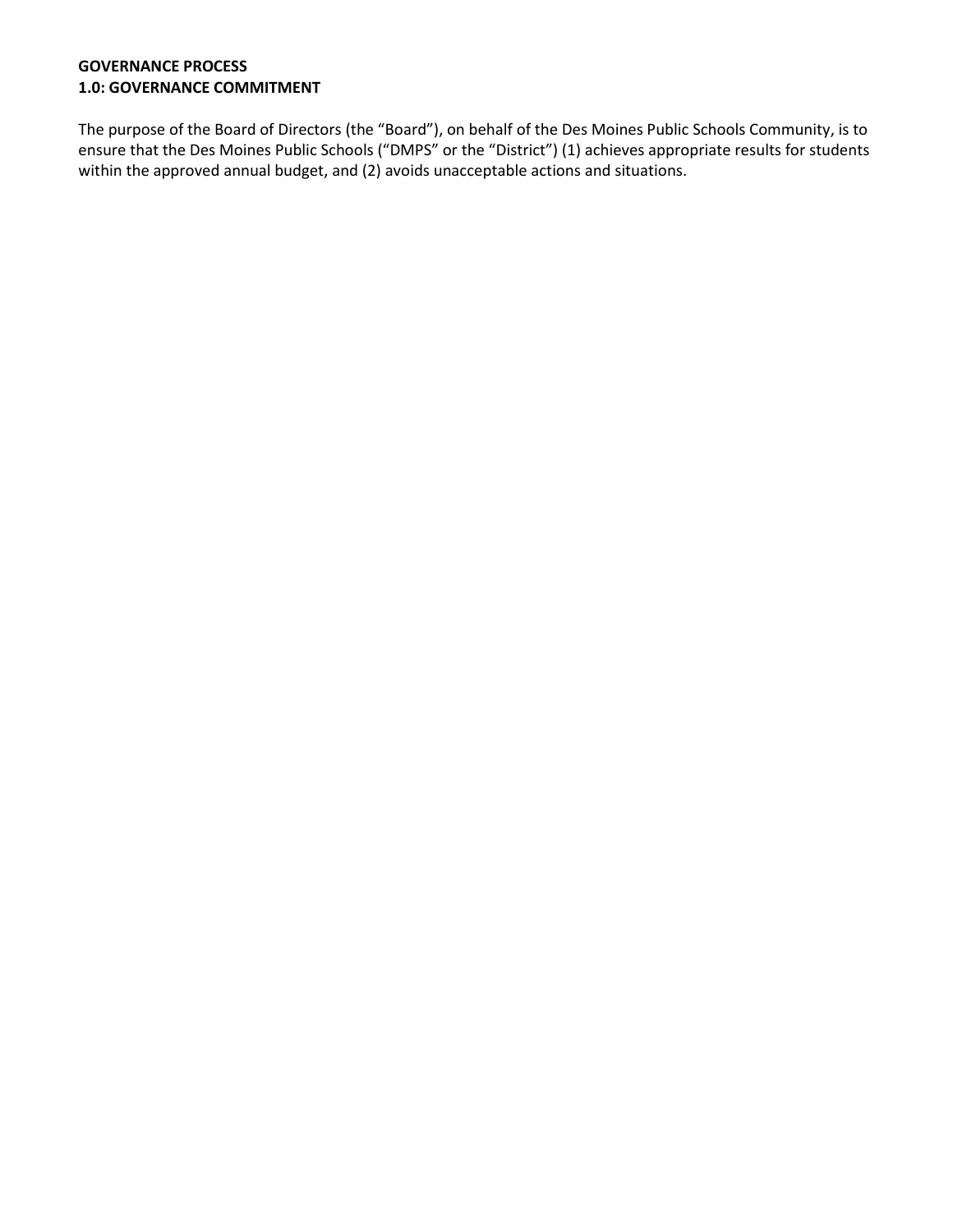## **GOVERNANCE PROCESS 1.0: GOVERNANCE COMMITMENT**

The purpose of the Board of Directors (the "Board"), on behalf of the Des Moines Public Schools Community, is to ensure that the Des Moines Public Schools ("DMPS" or the "District") (1) achieves appropriate results for students within the approved annual budget, and (2) avoids unacceptable actions and situations.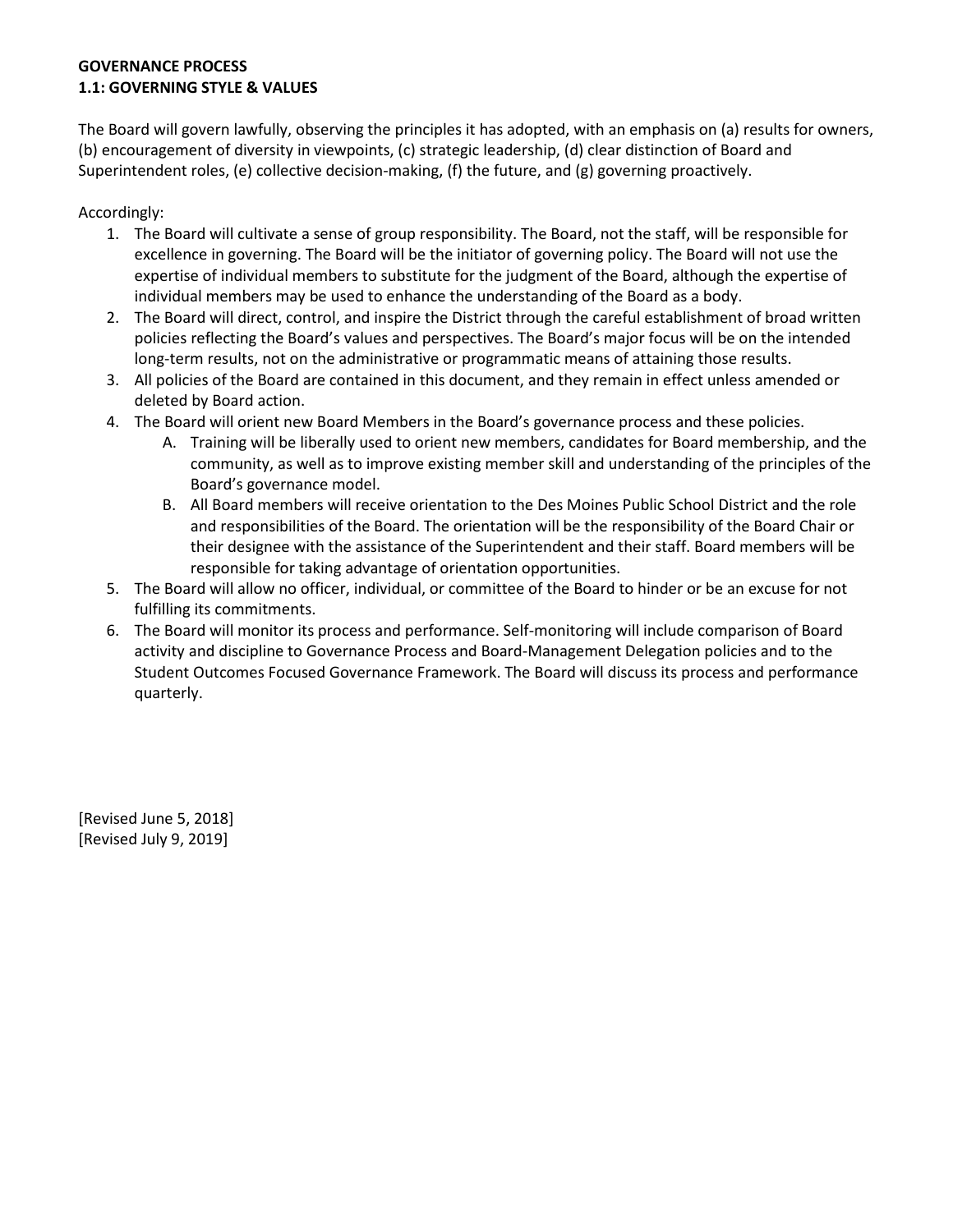# **GOVERNANCE PROCESS 1.1: GOVERNING STYLE & VALUES**

The Board will govern lawfully, observing the principles it has adopted, with an emphasis on (a) results for owners, (b) encouragement of diversity in viewpoints, (c) strategic leadership, (d) clear distinction of Board and Superintendent roles, (e) collective decision-making, (f) the future, and  $(g)$  governing proactively.

Accordingly:

- 1. The Board will cultivate a sense of group responsibility. The Board, not the staff, will be responsible for excellence in governing. The Board will be the initiator of governing policy. The Board will not use the expertise of individual members to substitute for the judgment of the Board, although the expertise of individual members may be used to enhance the understanding of the Board as a body.
- 2. The Board will direct, control, and inspire the District through the careful establishment of broad written policies reflecting the Board's values and perspectives. The Board's major focus will be on the intended long-term results, not on the administrative or programmatic means of attaining those results.
- 3. All policies of the Board are contained in this document, and they remain in effect unless amended or deleted by Board action.
- 4. The Board will orient new Board Members in the Board's governance process and these policies.
	- A. Training will be liberally used to orient new members, candidates for Board membership, and the community, as well as to improve existing member skill and understanding of the principles of the Board's governance model.
	- B. All Board members will receive orientation to the Des Moines Public School District and the role and responsibilities of the Board. The orientation will be the responsibility of the Board Chair or their designee with the assistance of the Superintendent and their staff. Board members will be responsible for taking advantage of orientation opportunities.
- 5. The Board will allow no officer, individual, or committee of the Board to hinder or be an excuse for not fulfilling its commitments.
- 6. The Board will monitor its process and performance. Self-monitoring will include comparison of Board activity and discipline to Governance Process and Board-Management Delegation policies and to the Student Outcomes Focused Governance Framework. The Board will discuss its process and performance quarterly.

[Revised June 5, 2018] [Revised July 9, 2019]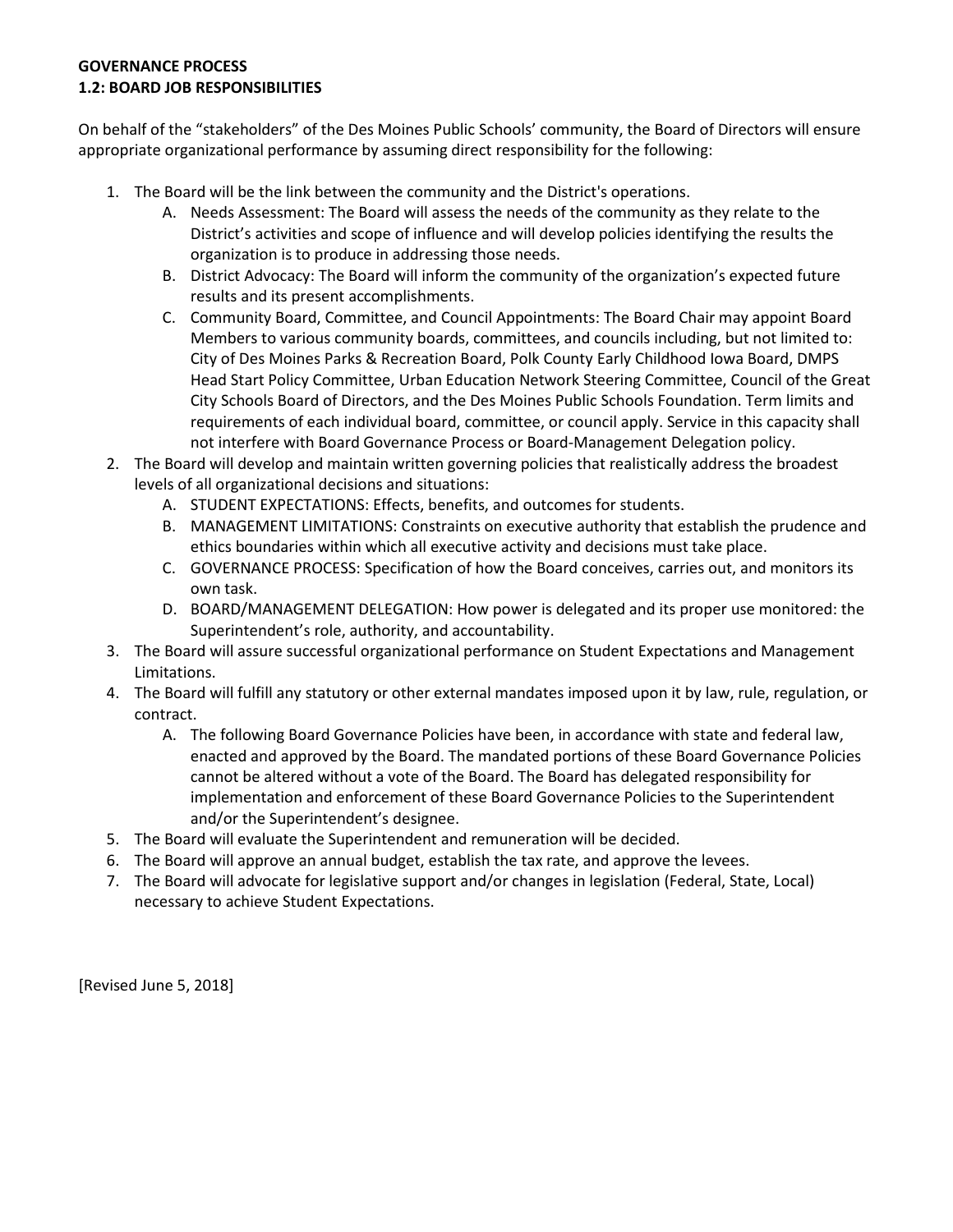#### **GOVERNANCE PROCESS 1.2: BOARD JOB RESPONSIBILITIES**

On behalf of the "stakeholders" of the Des Moines Public Schools' community, the Board of Directors will ensure appropriate organizational performance by assuming direct responsibility for the following:

- 1. The Board will be the link between the community and the District's operations.
	- A. Needs Assessment: The Board will assess the needs of the community as they relate to the District's activities and scope of influence and will develop policies identifying the results the organization is to produce in addressing those needs.
	- B. District Advocacy: The Board will inform the community of the organization's expected future results and its present accomplishments.
	- C. Community Board, Committee, and Council Appointments: The Board Chair may appoint Board Members to various community boards, committees, and councils including, but not limited to: City of Des Moines Parks & Recreation Board, Polk County Early Childhood Iowa Board, DMPS Head Start Policy Committee, Urban Education Network Steering Committee, Council of the Great City Schools Board of Directors, and the Des Moines Public Schools Foundation. Term limits and requirements of each individual board, committee, or council apply. Service in this capacity shall not interfere with Board Governance Process or Board-Management Delegation policy.
- 2. The Board will develop and maintain written governing policies that realistically address the broadest levels of all organizational decisions and situations:
	- A. STUDENT EXPECTATIONS: Effects, benefits, and outcomes for students.
	- B. MANAGEMENT LIMITATIONS: Constraints on executive authority that establish the prudence and ethics boundaries within which all executive activity and decisions must take place.
	- C. GOVERNANCE PROCESS: Specification of how the Board conceives, carries out, and monitors its own task.
	- D. BOARD/MANAGEMENT DELEGATION: How power is delegated and its proper use monitored: the Superintendent's role, authority, and accountability.
- 3. The Board will assure successful organizational performance on Student Expectations and Management Limitations.
- 4. The Board will fulfill any statutory or other external mandates imposed upon it by law, rule, regulation, or contract.
	- A. The following Board Governance Policies have been, in accordance with state and federal law, enacted and approved by the Board. The mandated portions of these Board Governance Policies cannot be altered without a vote of the Board. The Board has delegated responsibility for implementation and enforcement of these Board Governance Policies to the Superintendent and/or the Superintendent's designee.
- 5. The Board will evaluate the Superintendent and remuneration will be decided.
- 6. The Board will approve an annual budget, establish the tax rate, and approve the levees.
- 7. The Board will advocate for legislative support and/or changes in legislation (Federal, State, Local) necessary to achieve Student Expectations.

[Revised June 5, 2018]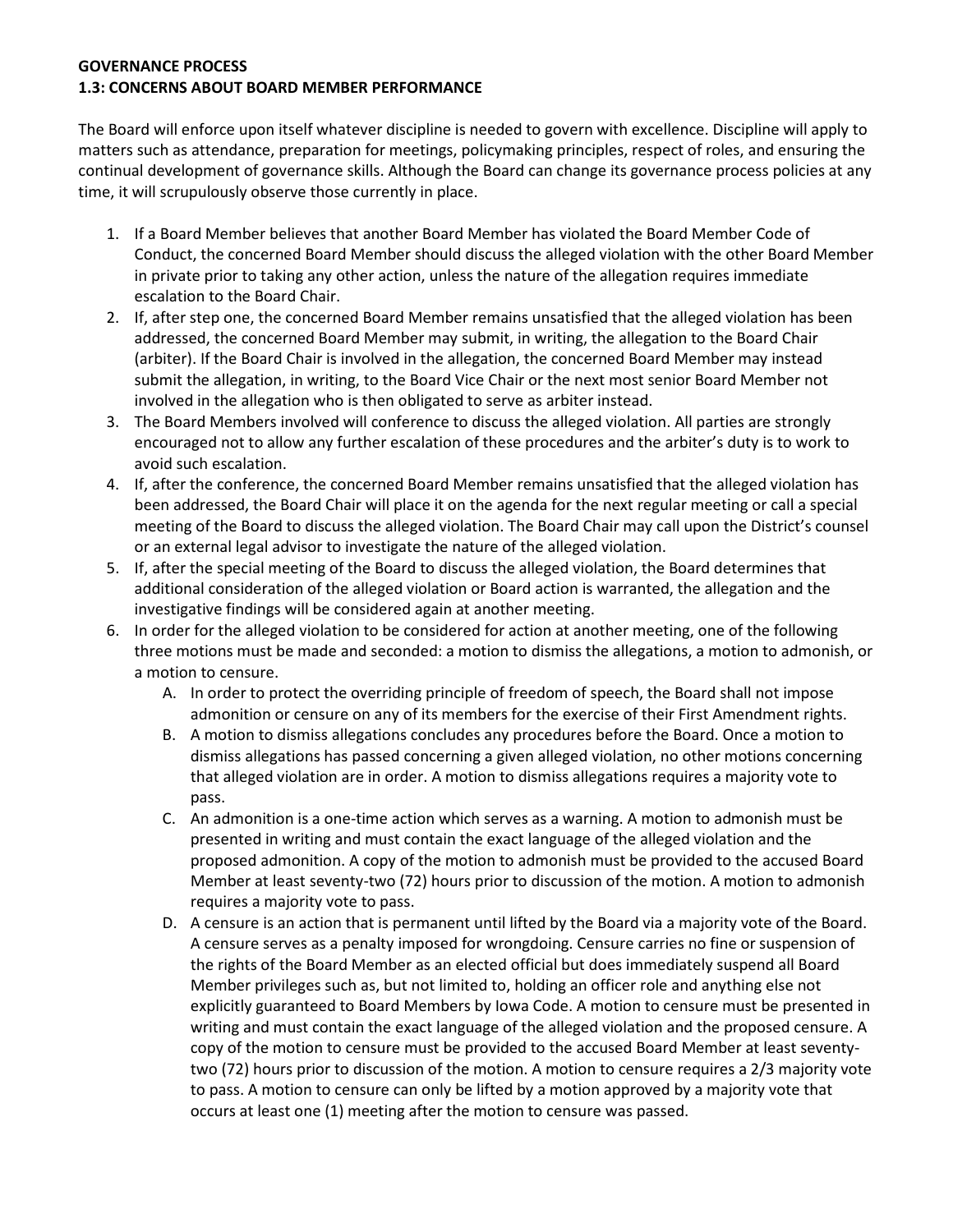#### **GOVERNANCE PROCESS 1.3: CONCERNS ABOUT BOARD MEMBER PERFORMANCE**

The Board will enforce upon itself whatever discipline is needed to govern with excellence. Discipline will apply to matters such as attendance, preparation for meetings, policymaking principles, respect of roles, and ensuring the continual development of governance skills. Although the Board can change its governance process policies at any time, it will scrupulously observe those currently in place.

- 1. If a Board Member believes that another Board Member has violated the Board Member Code of Conduct, the concerned Board Member should discuss the alleged violation with the other Board Member in private prior to taking any other action, unless the nature of the allegation requires immediate escalation to the Board Chair.
- 2. If, after step one, the concerned Board Member remains unsatisfied that the alleged violation has been addressed, the concerned Board Member may submit, in writing, the allegation to the Board Chair (arbiter). If the Board Chair is involved in the allegation, the concerned Board Member may instead submit the allegation, in writing, to the Board Vice Chair or the next most senior Board Member not involved in the allegation who is then obligated to serve as arbiter instead.
- 3. The Board Members involved will conference to discuss the alleged violation. All parties are strongly encouraged not to allow any further escalation of these procedures and the arbiter's duty is to work to avoid such escalation.
- 4. If, after the conference, the concerned Board Member remains unsatisfied that the alleged violation has been addressed, the Board Chair will place it on the agenda for the next regular meeting or call a special meeting of the Board to discuss the alleged violation. The Board Chair may call upon the District's counsel or an external legal advisor to investigate the nature of the alleged violation.
- 5. If, after the special meeting of the Board to discuss the alleged violation, the Board determines that additional consideration of the alleged violation or Board action is warranted, the allegation and the investigative findings will be considered again at another meeting.
- 6. In order for the alleged violation to be considered for action at another meeting, one of the following three motions must be made and seconded: a motion to dismiss the allegations, a motion to admonish, or a motion to censure.
	- A. In order to protect the overriding principle of freedom of speech, the Board shall not impose admonition or censure on any of its members for the exercise of their First Amendment rights.
	- B. A motion to dismiss allegations concludes any procedures before the Board. Once a motion to dismiss allegations has passed concerning a given alleged violation, no other motions concerning that alleged violation are in order. A motion to dismiss allegations requires a majority vote to pass.
	- C. An admonition is a one-time action which serves as a warning. A motion to admonish must be presented in writing and must contain the exact language of the alleged violation and the proposed admonition. A copy of the motion to admonish must be provided to the accused Board Member at least seventy-two (72) hours prior to discussion of the motion. A motion to admonish requires a majority vote to pass.
	- D. A censure is an action that is permanent until lifted by the Board via a majority vote of the Board. A censure serves as a penalty imposed for wrongdoing. Censure carries no fine or suspension of the rights of the Board Member as an elected official but does immediately suspend all Board Member privileges such as, but not limited to, holding an officer role and anything else not explicitly guaranteed to Board Members by Iowa Code. A motion to censure must be presented in writing and must contain the exact language of the alleged violation and the proposed censure. A copy of the motion to censure must be provided to the accused Board Member at least seventytwo (72) hours prior to discussion of the motion. A motion to censure requires a 2/3 majority vote to pass. A motion to censure can only be lifted by a motion approved by a majority vote that occurs at least one (1) meeting after the motion to censure was passed.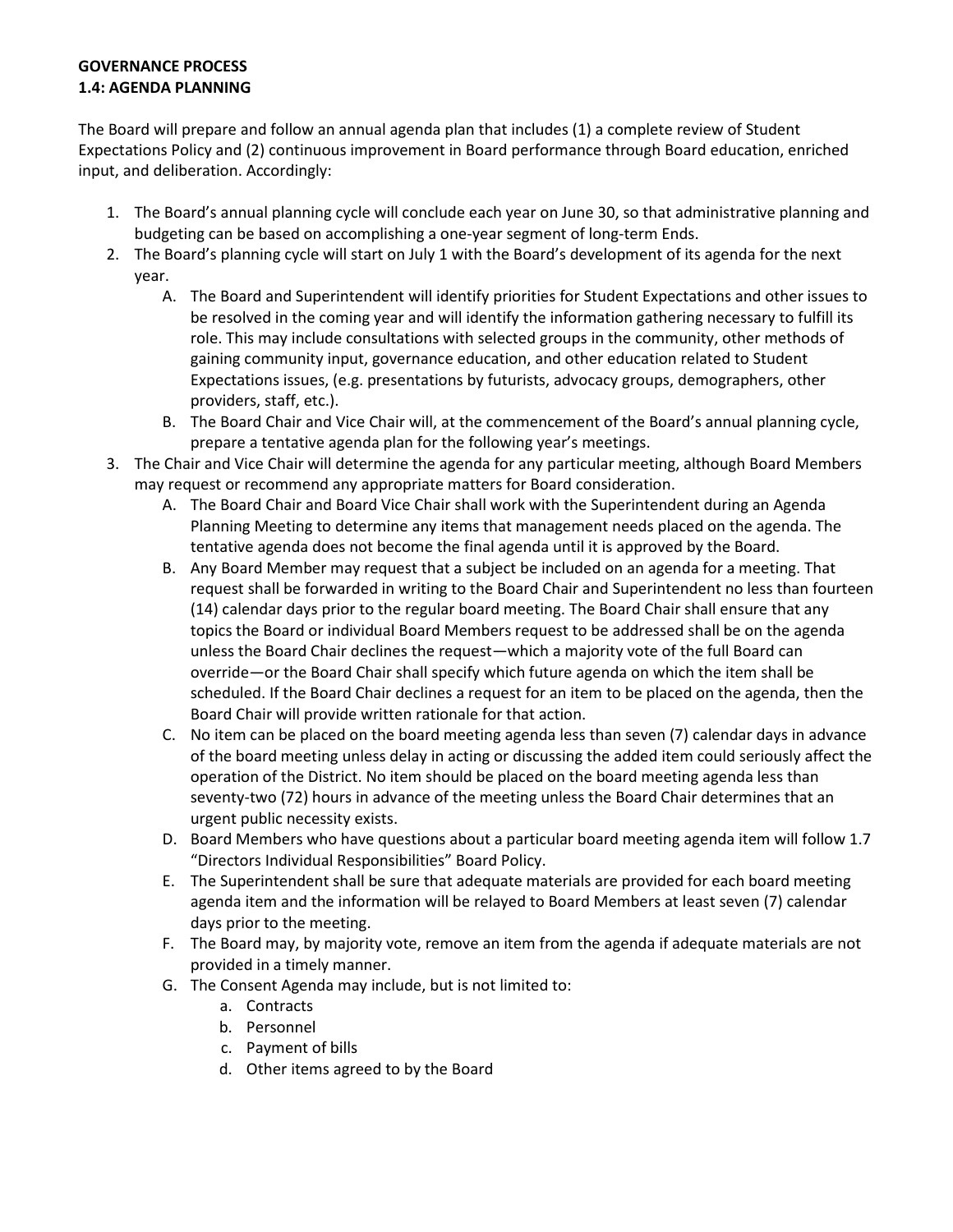# **GOVERNANCE PROCESS 1.4: AGENDA PLANNING**

The Board will prepare and follow an annual agenda plan that includes (1) a complete review of Student Expectations Policy and (2) continuous improvement in Board performance through Board education, enriched input, and deliberation. Accordingly:

- 1. The Board's annual planning cycle will conclude each year on June 30, so that administrative planning and budgeting can be based on accomplishing a one-year segment of long-term Ends.
- 2. The Board's planning cycle will start on July 1 with the Board's development of its agenda for the next year.
	- A. The Board and Superintendent will identify priorities for Student Expectations and other issues to be resolved in the coming year and will identify the information gathering necessary to fulfill its role. This may include consultations with selected groups in the community, other methods of gaining community input, governance education, and other education related to Student Expectations issues, (e.g. presentations by futurists, advocacy groups, demographers, other providers, staff, etc.).
	- B. The Board Chair and Vice Chair will, at the commencement of the Board's annual planning cycle, prepare a tentative agenda plan for the following year's meetings.
- 3. The Chair and Vice Chair will determine the agenda for any particular meeting, although Board Members may request or recommend any appropriate matters for Board consideration.
	- A. The Board Chair and Board Vice Chair shall work with the Superintendent during an Agenda Planning Meeting to determine any items that management needs placed on the agenda. The tentative agenda does not become the final agenda until it is approved by the Board.
	- B. Any Board Member may request that a subject be included on an agenda for a meeting. That request shall be forwarded in writing to the Board Chair and Superintendent no less than fourteen (14) calendar days prior to the regular board meeting. The Board Chair shall ensure that any topics the Board or individual Board Members request to be addressed shall be on the agenda unless the Board Chair declines the request—which a majority vote of the full Board can override—or the Board Chair shall specify which future agenda on which the item shall be scheduled. If the Board Chair declines a request for an item to be placed on the agenda, then the Board Chair will provide written rationale for that action.
	- C. No item can be placed on the board meeting agenda less than seven (7) calendar days in advance of the board meeting unless delay in acting or discussing the added item could seriously affect the operation of the District. No item should be placed on the board meeting agenda less than seventy-two (72) hours in advance of the meeting unless the Board Chair determines that an urgent public necessity exists.
	- D. Board Members who have questions about a particular board meeting agenda item will follow 1.7 "Directors Individual Responsibilities" Board Policy.
	- E. The Superintendent shall be sure that adequate materials are provided for each board meeting agenda item and the information will be relayed to Board Members at least seven (7) calendar days prior to the meeting.
	- F. The Board may, by majority vote, remove an item from the agenda if adequate materials are not provided in a timely manner.
	- G. The Consent Agenda may include, but is not limited to:
		- a. Contracts
		- b. Personnel
		- c. Payment of bills
		- d. Other items agreed to by the Board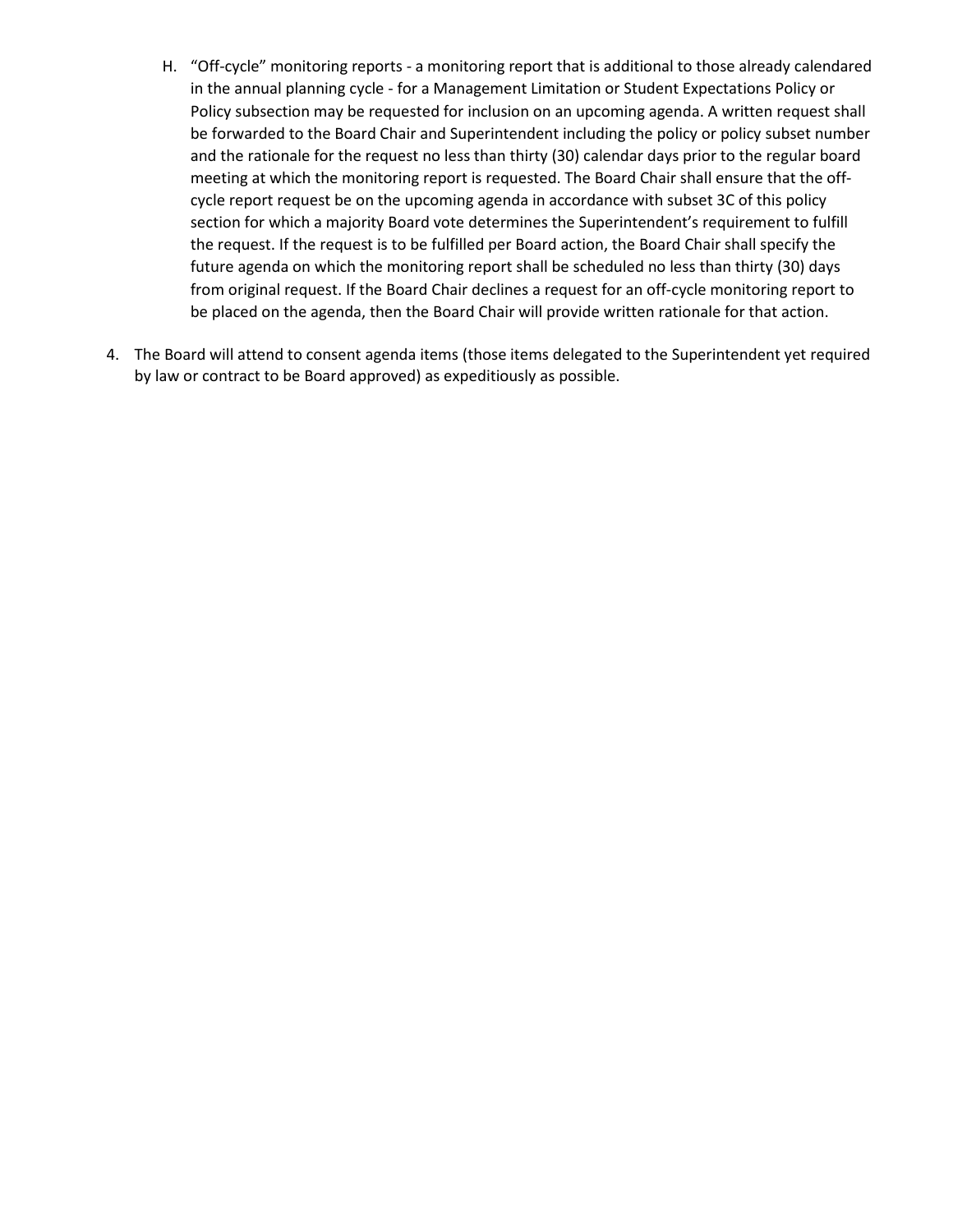- H. "Off-cycle" monitoring reports a monitoring report that is additional to those already calendared in the annual planning cycle - for a Management Limitation or Student Expectations Policy or Policy subsection may be requested for inclusion on an upcoming agenda. A written request shall be forwarded to the Board Chair and Superintendent including the policy or policy subset number and the rationale for the request no less than thirty (30) calendar days prior to the regular board meeting at which the monitoring report is requested. The Board Chair shall ensure that the offcycle report request be on the upcoming agenda in accordance with subset 3C of this policy section for which a majority Board vote determines the Superintendent's requirement to fulfill the request. If the request is to be fulfilled per Board action, the Board Chair shall specify the future agenda on which the monitoring report shall be scheduled no less than thirty (30) days from original request. If the Board Chair declines a request for an off-cycle monitoring report to be placed on the agenda, then the Board Chair will provide written rationale for that action.
- 4. The Board will attend to consent agenda items (those items delegated to the Superintendent yet required by law or contract to be Board approved) as expeditiously as possible.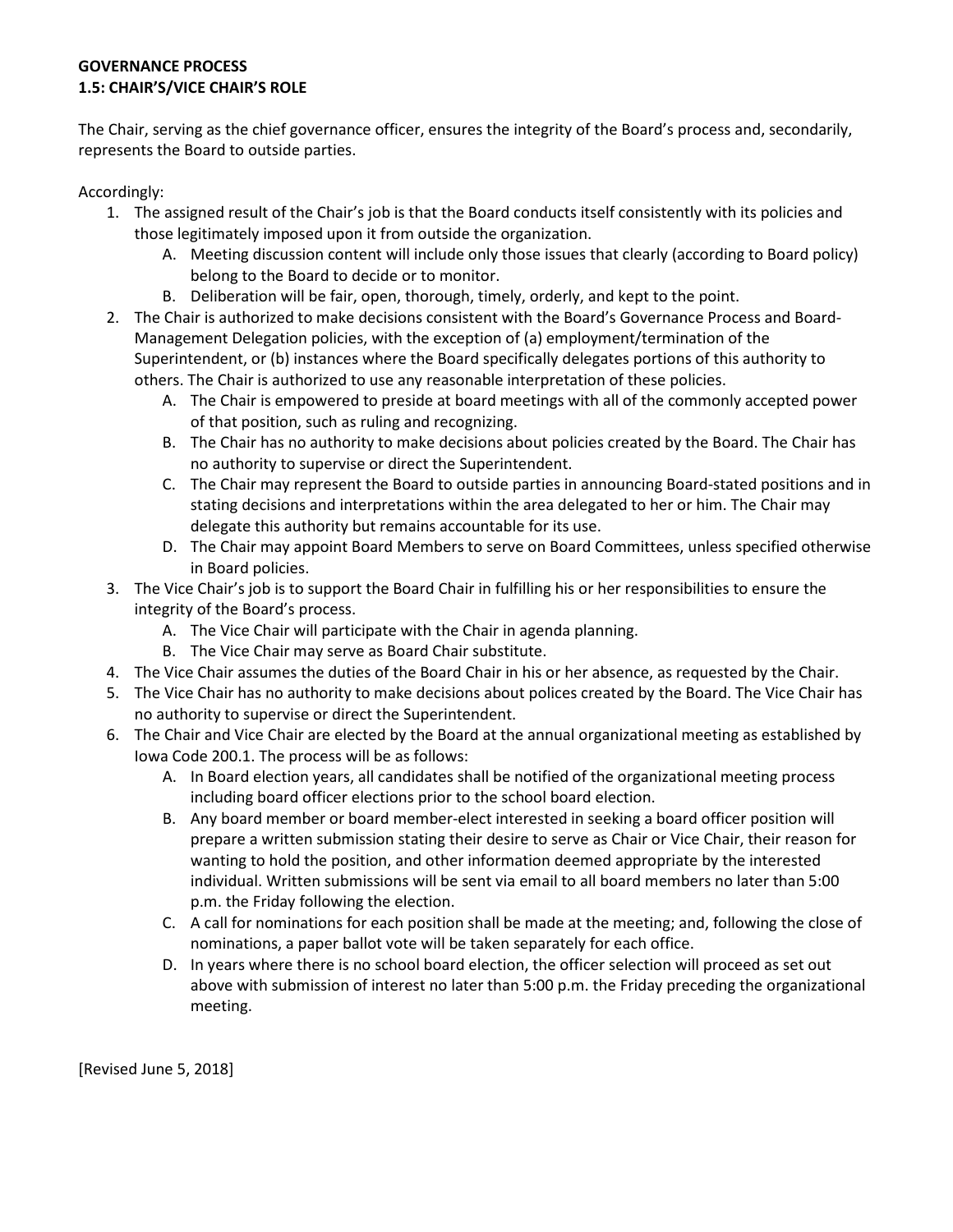# **GOVERNANCE PROCESS 1.5: CHAIR'S/VICE CHAIR'S ROLE**

The Chair, serving as the chief governance officer, ensures the integrity of the Board's process and, secondarily, represents the Board to outside parties.

Accordingly:

- 1. The assigned result of the Chair's job is that the Board conducts itself consistently with its policies and those legitimately imposed upon it from outside the organization.
	- A. Meeting discussion content will include only those issues that clearly (according to Board policy) belong to the Board to decide or to monitor.
	- B. Deliberation will be fair, open, thorough, timely, orderly, and kept to the point.
- 2. The Chair is authorized to make decisions consistent with the Board's Governance Process and Board-Management Delegation policies, with the exception of (a) employment/termination of the Superintendent, or (b) instances where the Board specifically delegates portions of this authority to others. The Chair is authorized to use any reasonable interpretation of these policies.
	- A. The Chair is empowered to preside at board meetings with all of the commonly accepted power of that position, such as ruling and recognizing.
	- B. The Chair has no authority to make decisions about policies created by the Board. The Chair has no authority to supervise or direct the Superintendent.
	- C. The Chair may represent the Board to outside parties in announcing Board-stated positions and in stating decisions and interpretations within the area delegated to her or him. The Chair may delegate this authority but remains accountable for its use.
	- D. The Chair may appoint Board Members to serve on Board Committees, unless specified otherwise in Board policies.
- 3. The Vice Chair's job is to support the Board Chair in fulfilling his or her responsibilities to ensure the integrity of the Board's process.
	- A. The Vice Chair will participate with the Chair in agenda planning.
	- B. The Vice Chair may serve as Board Chair substitute.
- 4. The Vice Chair assumes the duties of the Board Chair in his or her absence, as requested by the Chair.
- 5. The Vice Chair has no authority to make decisions about polices created by the Board. The Vice Chair has no authority to supervise or direct the Superintendent.
- 6. The Chair and Vice Chair are elected by the Board at the annual organizational meeting as established by Iowa Code 200.1. The process will be as follows:
	- A. In Board election years, all candidates shall be notified of the organizational meeting process including board officer elections prior to the school board election.
	- B. Any board member or board member-elect interested in seeking a board officer position will prepare a written submission stating their desire to serve as Chair or Vice Chair, their reason for wanting to hold the position, and other information deemed appropriate by the interested individual. Written submissions will be sent via email to all board members no later than 5:00 p.m. the Friday following the election.
	- C. A call for nominations for each position shall be made at the meeting; and, following the close of nominations, a paper ballot vote will be taken separately for each office.
	- D. In years where there is no school board election, the officer selection will proceed as set out above with submission of interest no later than 5:00 p.m. the Friday preceding the organizational meeting.

[Revised June 5, 2018]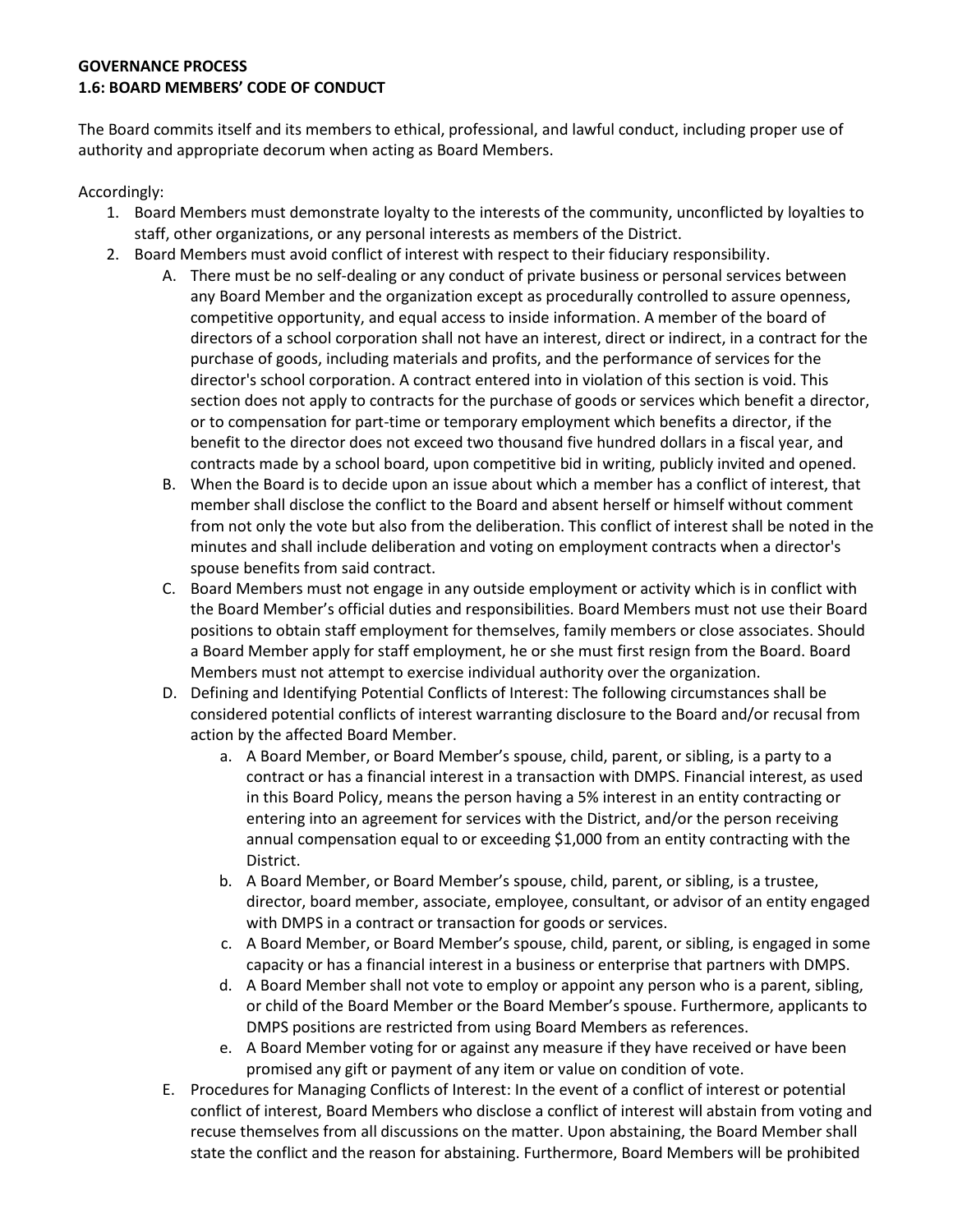# **GOVERNANCE PROCESS 1.6: BOARD MEMBERS' CODE OF CONDUCT**

The Board commits itself and its members to ethical, professional, and lawful conduct, including proper use of authority and appropriate decorum when acting as Board Members.

Accordingly:

- 1. Board Members must demonstrate loyalty to the interests of the community, unconflicted by loyalties to staff, other organizations, or any personal interests as members of the District.
- 2. Board Members must avoid conflict of interest with respect to their fiduciary responsibility.
	- A. There must be no self-dealing or any conduct of private business or personal services between any Board Member and the organization except as procedurally controlled to assure openness, competitive opportunity, and equal access to inside information. A member of the board of directors of a school corporation shall not have an interest, direct or indirect, in a contract for the purchase of goods, including materials and profits, and the performance of services for the director's school corporation. A contract entered into in violation of this section is void. This section does not apply to contracts for the purchase of goods or services which benefit a director, or to compensation for part-time or temporary employment which benefits a director, if the benefit to the director does not exceed two thousand five hundred dollars in a fiscal year, and contracts made by a school board, upon competitive bid in writing, publicly invited and opened.
	- B. When the Board is to decide upon an issue about which a member has a conflict of interest, that member shall disclose the conflict to the Board and absent herself or himself without comment from not only the vote but also from the deliberation. This conflict of interest shall be noted in the minutes and shall include deliberation and voting on employment contracts when a director's spouse benefits from said contract.
	- C. Board Members must not engage in any outside employment or activity which is in conflict with the Board Member's official duties and responsibilities. Board Members must not use their Board positions to obtain staff employment for themselves, family members or close associates. Should a Board Member apply for staff employment, he or she must first resign from the Board. Board Members must not attempt to exercise individual authority over the organization.
	- D. Defining and Identifying Potential Conflicts of Interest: The following circumstances shall be considered potential conflicts of interest warranting disclosure to the Board and/or recusal from action by the affected Board Member.
		- a. A Board Member, or Board Member's spouse, child, parent, or sibling, is a party to a contract or has a financial interest in a transaction with DMPS. Financial interest, as used in this Board Policy, means the person having a 5% interest in an entity contracting or entering into an agreement for services with the District, and/or the person receiving annual compensation equal to or exceeding \$1,000 from an entity contracting with the District.
		- b. A Board Member, or Board Member's spouse, child, parent, or sibling, is a trustee, director, board member, associate, employee, consultant, or advisor of an entity engaged with DMPS in a contract or transaction for goods or services.
		- c. A Board Member, or Board Member's spouse, child, parent, or sibling, is engaged in some capacity or has a financial interest in a business or enterprise that partners with DMPS.
		- d. A Board Member shall not vote to employ or appoint any person who is a parent, sibling, or child of the Board Member or the Board Member's spouse. Furthermore, applicants to DMPS positions are restricted from using Board Members as references.
		- e. A Board Member voting for or against any measure if they have received or have been promised any gift or payment of any item or value on condition of vote.
	- E. Procedures for Managing Conflicts of Interest: In the event of a conflict of interest or potential conflict of interest, Board Members who disclose a conflict of interest will abstain from voting and recuse themselves from all discussions on the matter. Upon abstaining, the Board Member shall state the conflict and the reason for abstaining. Furthermore, Board Members will be prohibited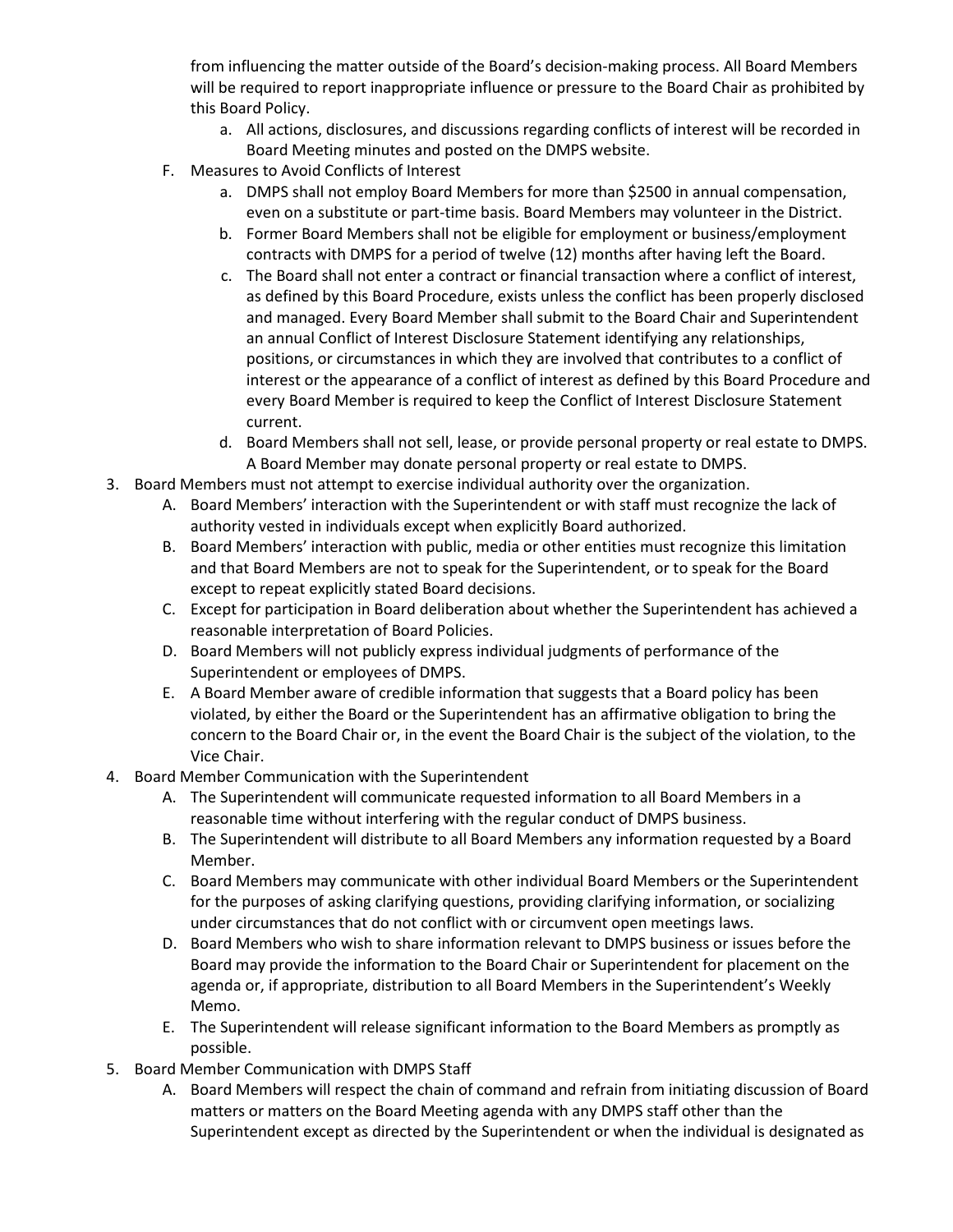from influencing the matter outside of the Board's decision-making process. All Board Members will be required to report inappropriate influence or pressure to the Board Chair as prohibited by this Board Policy.

- a. All actions, disclosures, and discussions regarding conflicts of interest will be recorded in Board Meeting minutes and posted on the DMPS website.
- F. Measures to Avoid Conflicts of Interest
	- a. DMPS shall not employ Board Members for more than \$2500 in annual compensation, even on a substitute or part-time basis. Board Members may volunteer in the District.
	- b. Former Board Members shall not be eligible for employment or business/employment contracts with DMPS for a period of twelve (12) months after having left the Board.
	- c. The Board shall not enter a contract or financial transaction where a conflict of interest, as defined by this Board Procedure, exists unless the conflict has been properly disclosed and managed. Every Board Member shall submit to the Board Chair and Superintendent an annual Conflict of Interest Disclosure Statement identifying any relationships, positions, or circumstances in which they are involved that contributes to a conflict of interest or the appearance of a conflict of interest as defined by this Board Procedure and every Board Member is required to keep the Conflict of Interest Disclosure Statement current.
	- d. Board Members shall not sell, lease, or provide personal property or real estate to DMPS. A Board Member may donate personal property or real estate to DMPS.
- 3. Board Members must not attempt to exercise individual authority over the organization.
	- A. Board Members' interaction with the Superintendent or with staff must recognize the lack of authority vested in individuals except when explicitly Board authorized.
	- B. Board Members' interaction with public, media or other entities must recognize this limitation and that Board Members are not to speak for the Superintendent, or to speak for the Board except to repeat explicitly stated Board decisions.
	- C. Except for participation in Board deliberation about whether the Superintendent has achieved a reasonable interpretation of Board Policies.
	- D. Board Members will not publicly express individual judgments of performance of the Superintendent or employees of DMPS.
	- E. A Board Member aware of credible information that suggests that a Board policy has been violated, by either the Board or the Superintendent has an affirmative obligation to bring the concern to the Board Chair or, in the event the Board Chair is the subject of the violation, to the Vice Chair.
- 4. Board Member Communication with the Superintendent
	- A. The Superintendent will communicate requested information to all Board Members in a reasonable time without interfering with the regular conduct of DMPS business.
	- B. The Superintendent will distribute to all Board Members any information requested by a Board Member.
	- C. Board Members may communicate with other individual Board Members or the Superintendent for the purposes of asking clarifying questions, providing clarifying information, or socializing under circumstances that do not conflict with or circumvent open meetings laws.
	- D. Board Members who wish to share information relevant to DMPS business or issues before the Board may provide the information to the Board Chair or Superintendent for placement on the agenda or, if appropriate, distribution to all Board Members in the Superintendent's Weekly Memo.
	- E. The Superintendent will release significant information to the Board Members as promptly as possible.
- 5. Board Member Communication with DMPS Staff
	- A. Board Members will respect the chain of command and refrain from initiating discussion of Board matters or matters on the Board Meeting agenda with any DMPS staff other than the Superintendent except as directed by the Superintendent or when the individual is designated as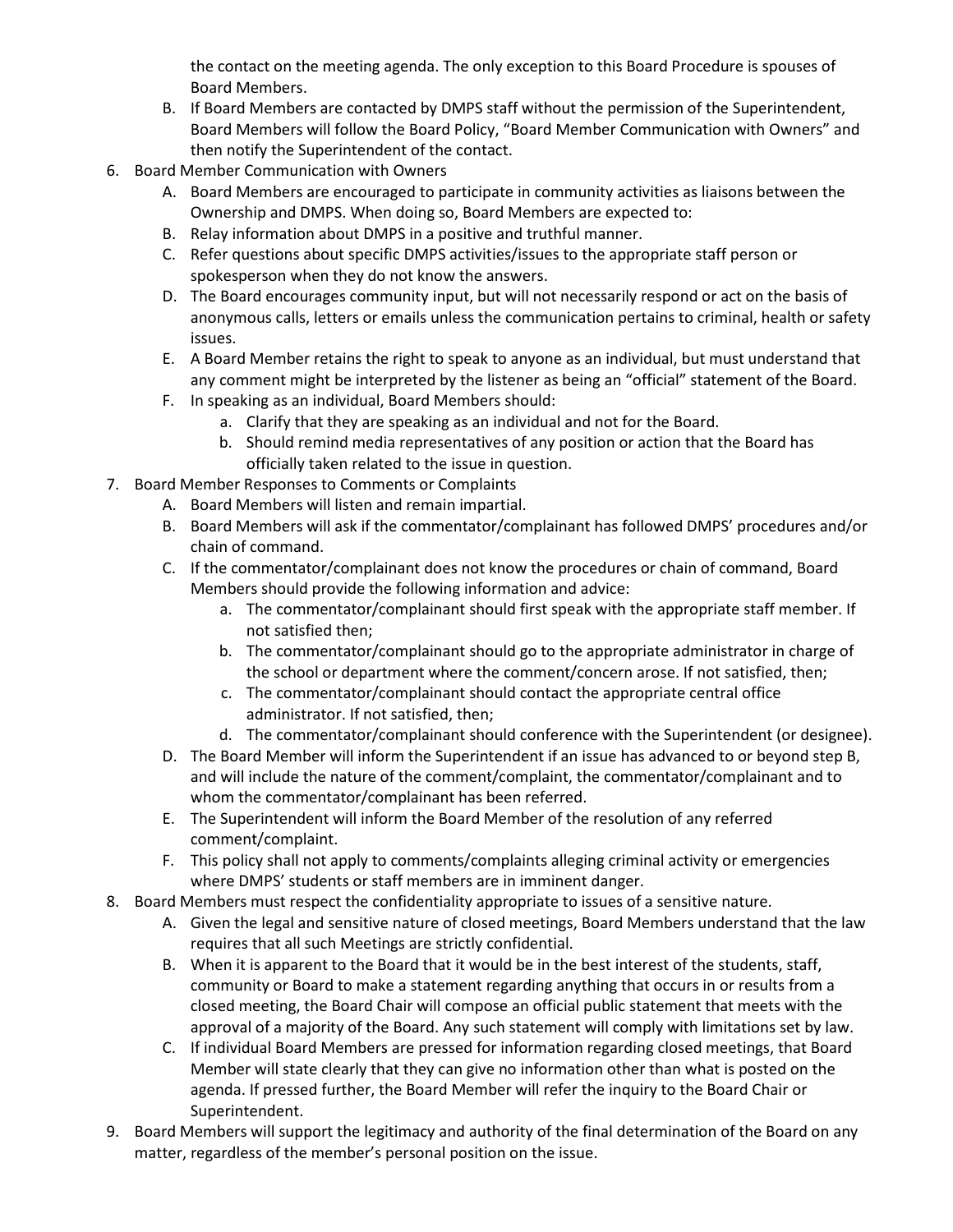the contact on the meeting agenda. The only exception to this Board Procedure is spouses of Board Members.

- B. If Board Members are contacted by DMPS staff without the permission of the Superintendent, Board Members will follow the Board Policy, "Board Member Communication with Owners" and then notify the Superintendent of the contact.
- 6. Board Member Communication with Owners
	- A. Board Members are encouraged to participate in community activities as liaisons between the Ownership and DMPS. When doing so, Board Members are expected to:
	- B. Relay information about DMPS in a positive and truthful manner.
	- C. Refer questions about specific DMPS activities/issues to the appropriate staff person or spokesperson when they do not know the answers.
	- D. The Board encourages community input, but will not necessarily respond or act on the basis of anonymous calls, letters or emails unless the communication pertains to criminal, health or safety issues.
	- E. A Board Member retains the right to speak to anyone as an individual, but must understand that any comment might be interpreted by the listener as being an "official" statement of the Board.
	- F. In speaking as an individual, Board Members should:
		- a. Clarify that they are speaking as an individual and not for the Board.
		- b. Should remind media representatives of any position or action that the Board has officially taken related to the issue in question.
- 7. Board Member Responses to Comments or Complaints
	- A. Board Members will listen and remain impartial.
	- B. Board Members will ask if the commentator/complainant has followed DMPS' procedures and/or chain of command.
	- C. If the commentator/complainant does not know the procedures or chain of command, Board Members should provide the following information and advice:
		- a. The commentator/complainant should first speak with the appropriate staff member. If not satisfied then;
		- b. The commentator/complainant should go to the appropriate administrator in charge of the school or department where the comment/concern arose. If not satisfied, then;
		- c. The commentator/complainant should contact the appropriate central office administrator. If not satisfied, then;
		- d. The commentator/complainant should conference with the Superintendent (or designee).
	- D. The Board Member will inform the Superintendent if an issue has advanced to or beyond step B, and will include the nature of the comment/complaint, the commentator/complainant and to whom the commentator/complainant has been referred.
	- E. The Superintendent will inform the Board Member of the resolution of any referred comment/complaint.
	- F. This policy shall not apply to comments/complaints alleging criminal activity or emergencies where DMPS' students or staff members are in imminent danger.
- 8. Board Members must respect the confidentiality appropriate to issues of a sensitive nature.
	- A. Given the legal and sensitive nature of closed meetings, Board Members understand that the law requires that all such Meetings are strictly confidential.
	- B. When it is apparent to the Board that it would be in the best interest of the students, staff, community or Board to make a statement regarding anything that occurs in or results from a closed meeting, the Board Chair will compose an official public statement that meets with the approval of a majority of the Board. Any such statement will comply with limitations set by law.
	- C. If individual Board Members are pressed for information regarding closed meetings, that Board Member will state clearly that they can give no information other than what is posted on the agenda. If pressed further, the Board Member will refer the inquiry to the Board Chair or Superintendent.
- 9. Board Members will support the legitimacy and authority of the final determination of the Board on any matter, regardless of the member's personal position on the issue.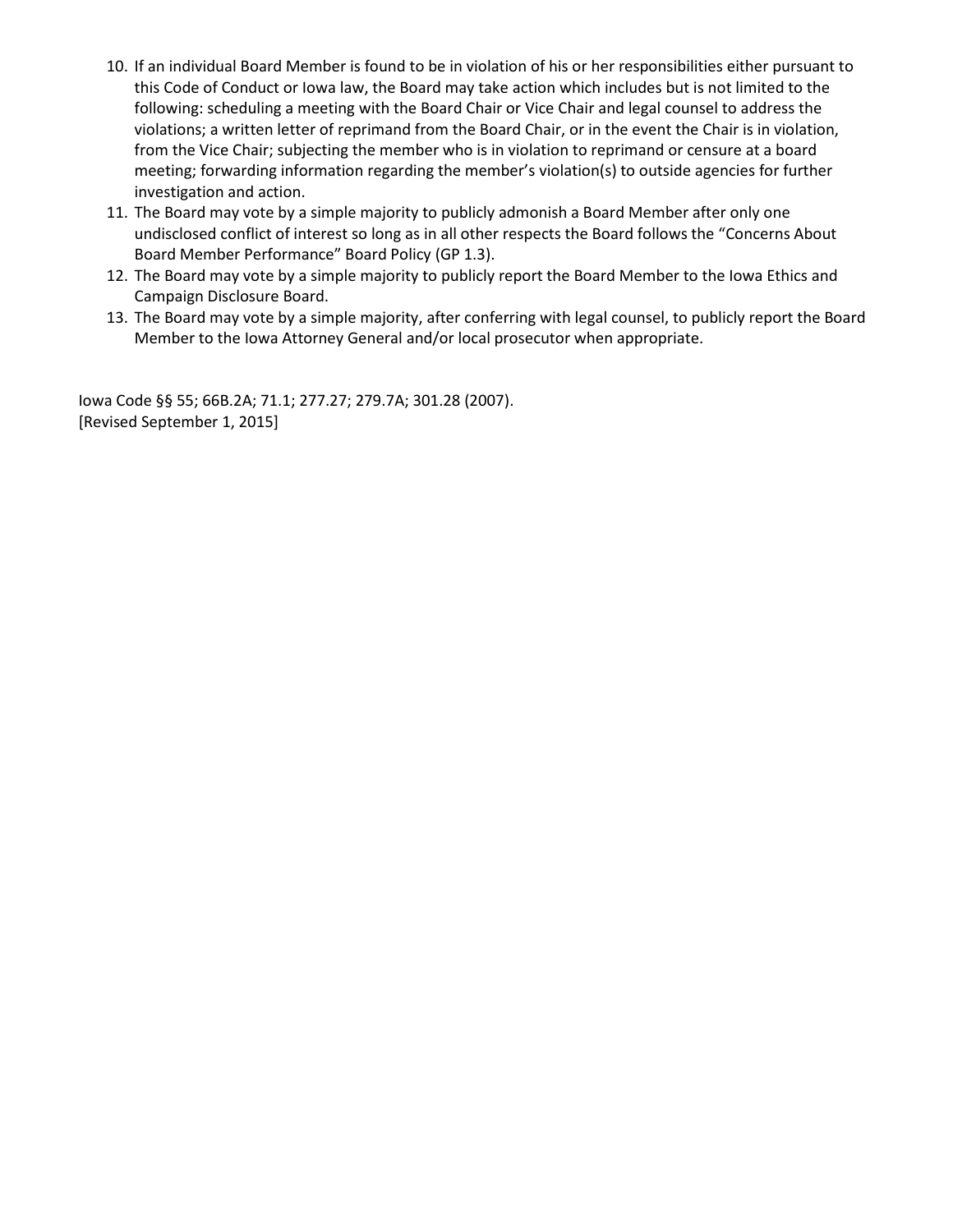- 10. If an individual Board Member is found to be in violation of his or her responsibilities either pursuant to this Code of Conduct or Iowa law, the Board may take action which includes but is not limited to the following: scheduling a meeting with the Board Chair or Vice Chair and legal counsel to address the violations; a written letter of reprimand from the Board Chair, or in the event the Chair is in violation, from the Vice Chair; subjecting the member who is in violation to reprimand or censure at a board meeting; forwarding information regarding the member's violation(s) to outside agencies for further investigation and action.
- 11. The Board may vote by a simple majority to publicly admonish a Board Member after only one undisclosed conflict of interest so long as in all other respects the Board follows the "Concerns About Board Member Performance" Board Policy (GP 1.3).
- 12. The Board may vote by a simple majority to publicly report the Board Member to the Iowa Ethics and Campaign Disclosure Board.
- 13. The Board may vote by a simple majority, after conferring with legal counsel, to publicly report the Board Member to the Iowa Attorney General and/or local prosecutor when appropriate.

Iowa Code §§ 55; 66B.2A; 71.1; 277.27; 279.7A; 301.28 (2007). [Revised September 1, 2015]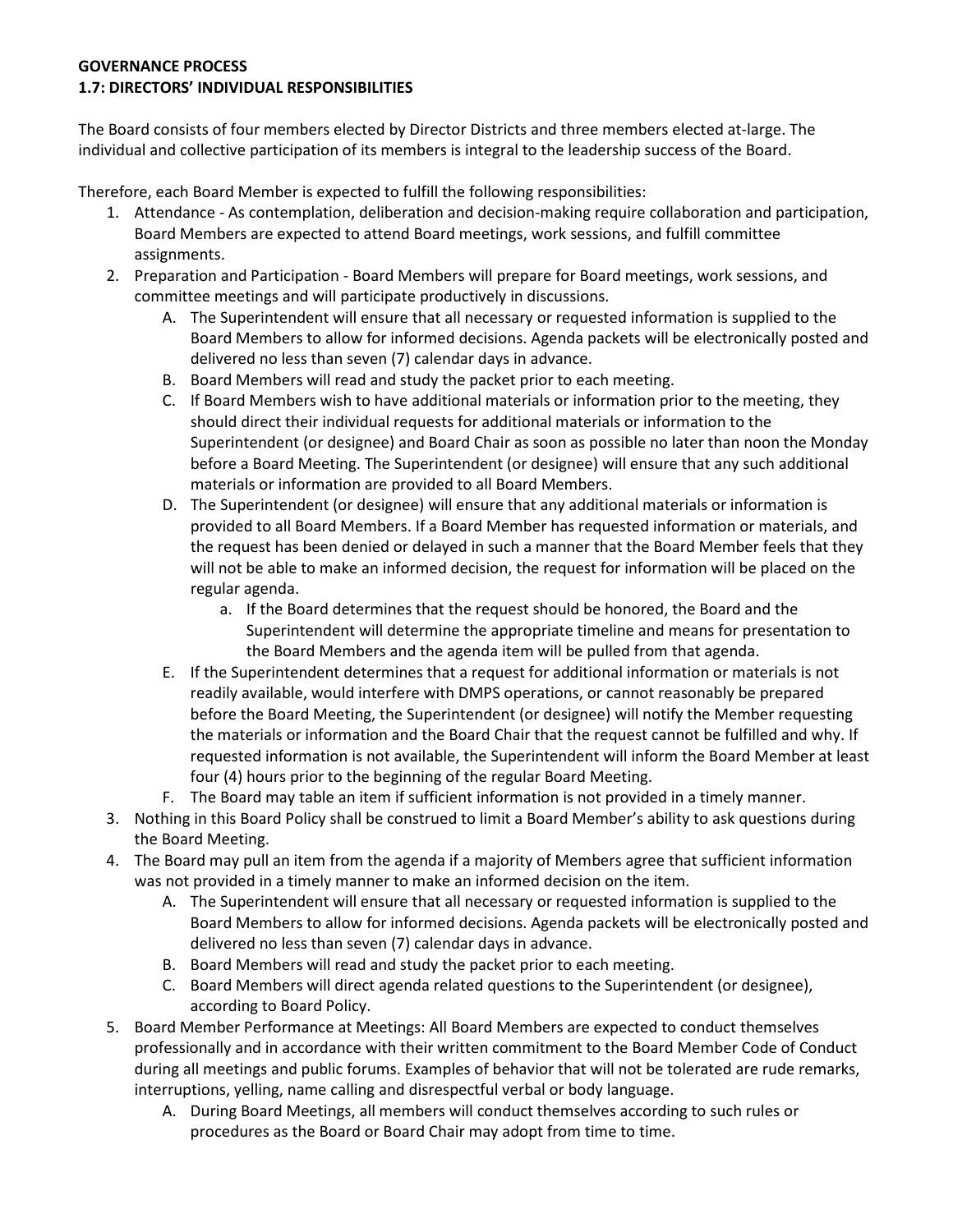# **GOVERNANCE PROCESS 1.7: DIRECTORS' INDIVIDUAL RESPONSIBILITIES**

The Board consists of four members elected by Director Districts and three members elected at-large. The individual and collective participation of its members is integral to the leadership success of the Board.

Therefore, each Board Member is expected to fulfill the following responsibilities:

- 1. Attendance As contemplation, deliberation and decision-making require collaboration and participation, Board Members are expected to attend Board meetings, work sessions, and fulfill committee assignments.
- 2. Preparation and Participation Board Members will prepare for Board meetings, work sessions, and committee meetings and will participate productively in discussions.
	- A. The Superintendent will ensure that all necessary or requested information is supplied to the Board Members to allow for informed decisions. Agenda packets will be electronically posted and delivered no less than seven (7) calendar days in advance.
	- B. Board Members will read and study the packet prior to each meeting.
	- C. If Board Members wish to have additional materials or information prior to the meeting, they should direct their individual requests for additional materials or information to the Superintendent (or designee) and Board Chair as soon as possible no later than noon the Monday before a Board Meeting. The Superintendent (or designee) will ensure that any such additional materials or information are provided to all Board Members.
	- D. The Superintendent (or designee) will ensure that any additional materials or information is provided to all Board Members. If a Board Member has requested information or materials, and the request has been denied or delayed in such a manner that the Board Member feels that they will not be able to make an informed decision, the request for information will be placed on the regular agenda.
		- a. If the Board determines that the request should be honored, the Board and the Superintendent will determine the appropriate timeline and means for presentation to the Board Members and the agenda item will be pulled from that agenda.
	- E. If the Superintendent determines that a request for additional information or materials is not readily available, would interfere with DMPS operations, or cannot reasonably be prepared before the Board Meeting, the Superintendent (or designee) will notify the Member requesting the materials or information and the Board Chair that the request cannot be fulfilled and why. If requested information is not available, the Superintendent will inform the Board Member at least four (4) hours prior to the beginning of the regular Board Meeting.
	- F. The Board may table an item if sufficient information is not provided in a timely manner.
- 3. Nothing in this Board Policy shall be construed to limit a Board Member's ability to ask questions during the Board Meeting.
- 4. The Board may pull an item from the agenda if a majority of Members agree that sufficient information was not provided in a timely manner to make an informed decision on the item.
	- A. The Superintendent will ensure that all necessary or requested information is supplied to the Board Members to allow for informed decisions. Agenda packets will be electronically posted and delivered no less than seven (7) calendar days in advance.
	- B. Board Members will read and study the packet prior to each meeting.
	- C. Board Members will direct agenda related questions to the Superintendent (or designee), according to Board Policy.
- 5. Board Member Performance at Meetings: All Board Members are expected to conduct themselves professionally and in accordance with their written commitment to the Board Member Code of Conduct during all meetings and public forums. Examples of behavior that will not be tolerated are rude remarks, interruptions, yelling, name calling and disrespectful verbal or body language.
	- A. During Board Meetings, all members will conduct themselves according to such rules or procedures as the Board or Board Chair may adopt from time to time.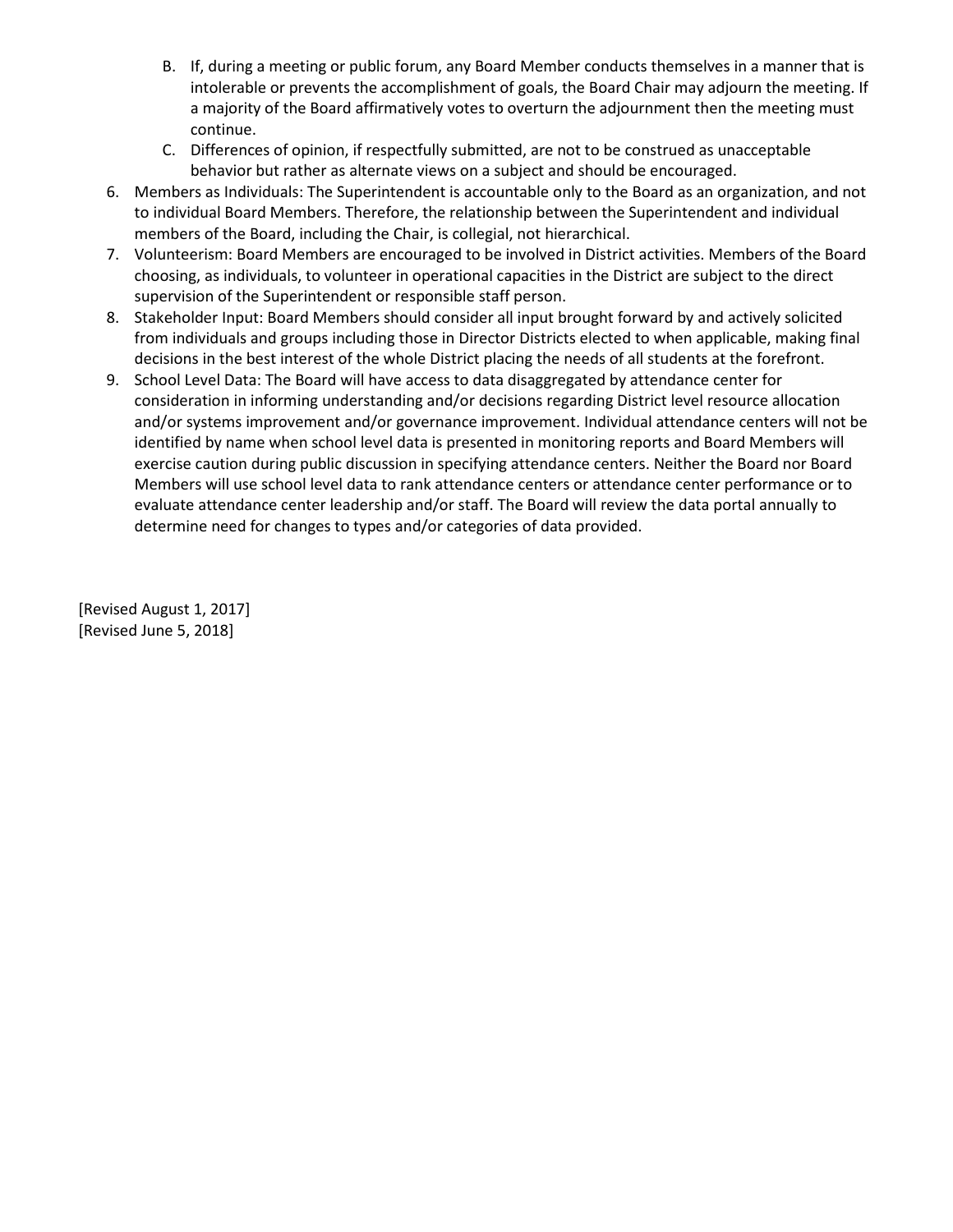- B. If, during a meeting or public forum, any Board Member conducts themselves in a manner that is intolerable or prevents the accomplishment of goals, the Board Chair may adjourn the meeting. If a majority of the Board affirmatively votes to overturn the adjournment then the meeting must continue.
- C. Differences of opinion, if respectfully submitted, are not to be construed as unacceptable behavior but rather as alternate views on a subject and should be encouraged.
- 6. Members as Individuals: The Superintendent is accountable only to the Board as an organization, and not to individual Board Members. Therefore, the relationship between the Superintendent and individual members of the Board, including the Chair, is collegial, not hierarchical.
- 7. Volunteerism: Board Members are encouraged to be involved in District activities. Members of the Board choosing, as individuals, to volunteer in operational capacities in the District are subject to the direct supervision of the Superintendent or responsible staff person.
- 8. Stakeholder Input: Board Members should consider all input brought forward by and actively solicited from individuals and groups including those in Director Districts elected to when applicable, making final decisions in the best interest of the whole District placing the needs of all students at the forefront.
- 9. School Level Data: The Board will have access to data disaggregated by attendance center for consideration in informing understanding and/or decisions regarding District level resource allocation and/or systems improvement and/or governance improvement. Individual attendance centers will not be identified by name when school level data is presented in monitoring reports and Board Members will exercise caution during public discussion in specifying attendance centers. Neither the Board nor Board Members will use school level data to rank attendance centers or attendance center performance or to evaluate attendance center leadership and/or staff. The Board will review the data portal annually to determine need for changes to types and/or categories of data provided.

[Revised August 1, 2017] [Revised June 5, 2018]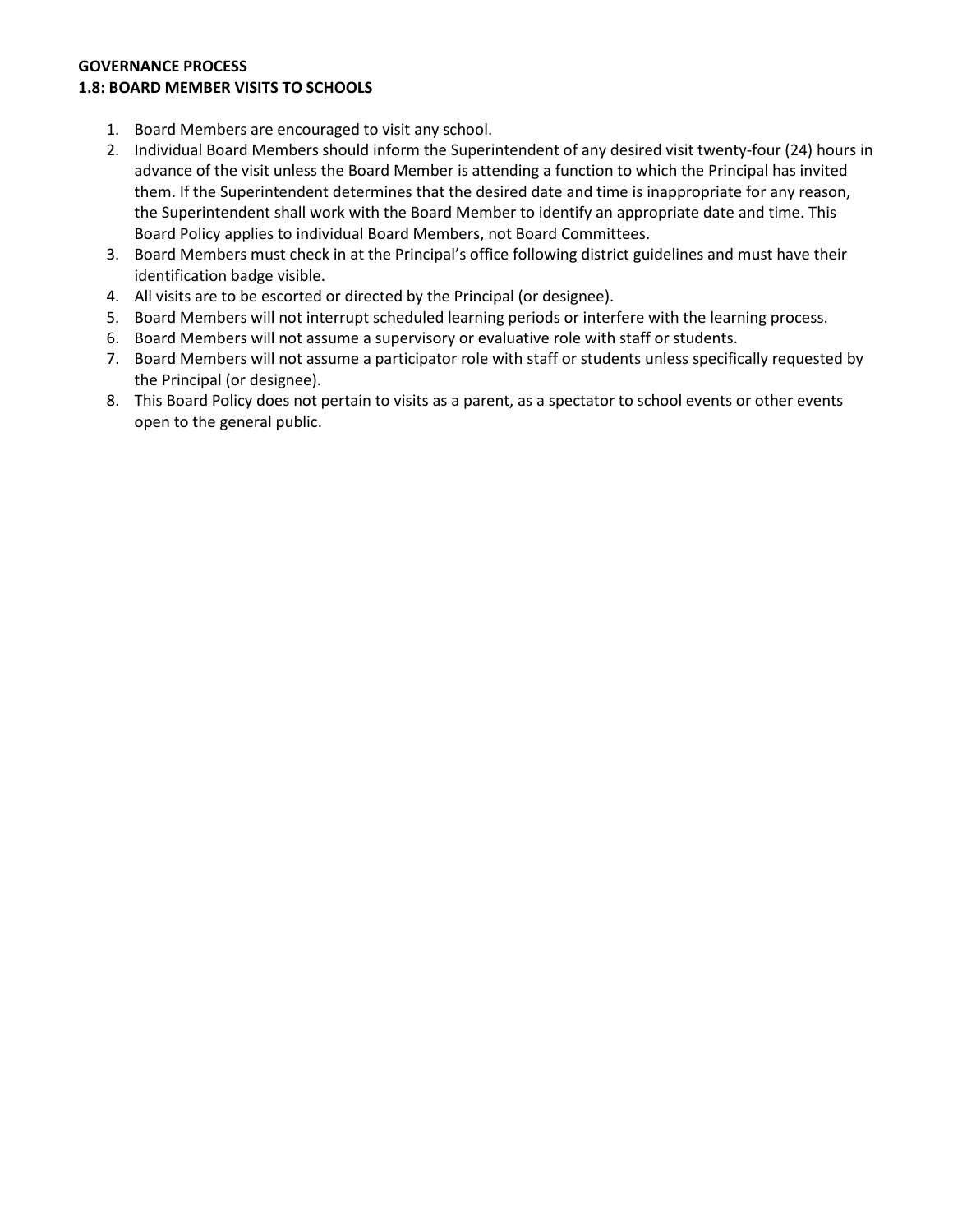#### **GOVERNANCE PROCESS 1.8: BOARD MEMBER VISITS TO SCHOOLS**

- 1. Board Members are encouraged to visit any school.
- 2. Individual Board Members should inform the Superintendent of any desired visit twenty-four (24) hours in advance of the visit unless the Board Member is attending a function to which the Principal has invited them. If the Superintendent determines that the desired date and time is inappropriate for any reason, the Superintendent shall work with the Board Member to identify an appropriate date and time. This Board Policy applies to individual Board Members, not Board Committees.
- 3. Board Members must check in at the Principal's office following district guidelines and must have their identification badge visible.
- 4. All visits are to be escorted or directed by the Principal (or designee).
- 5. Board Members will not interrupt scheduled learning periods or interfere with the learning process.
- 6. Board Members will not assume a supervisory or evaluative role with staff or students.
- 7. Board Members will not assume a participator role with staff or students unless specifically requested by the Principal (or designee).
- 8. This Board Policy does not pertain to visits as a parent, as a spectator to school events or other events open to the general public.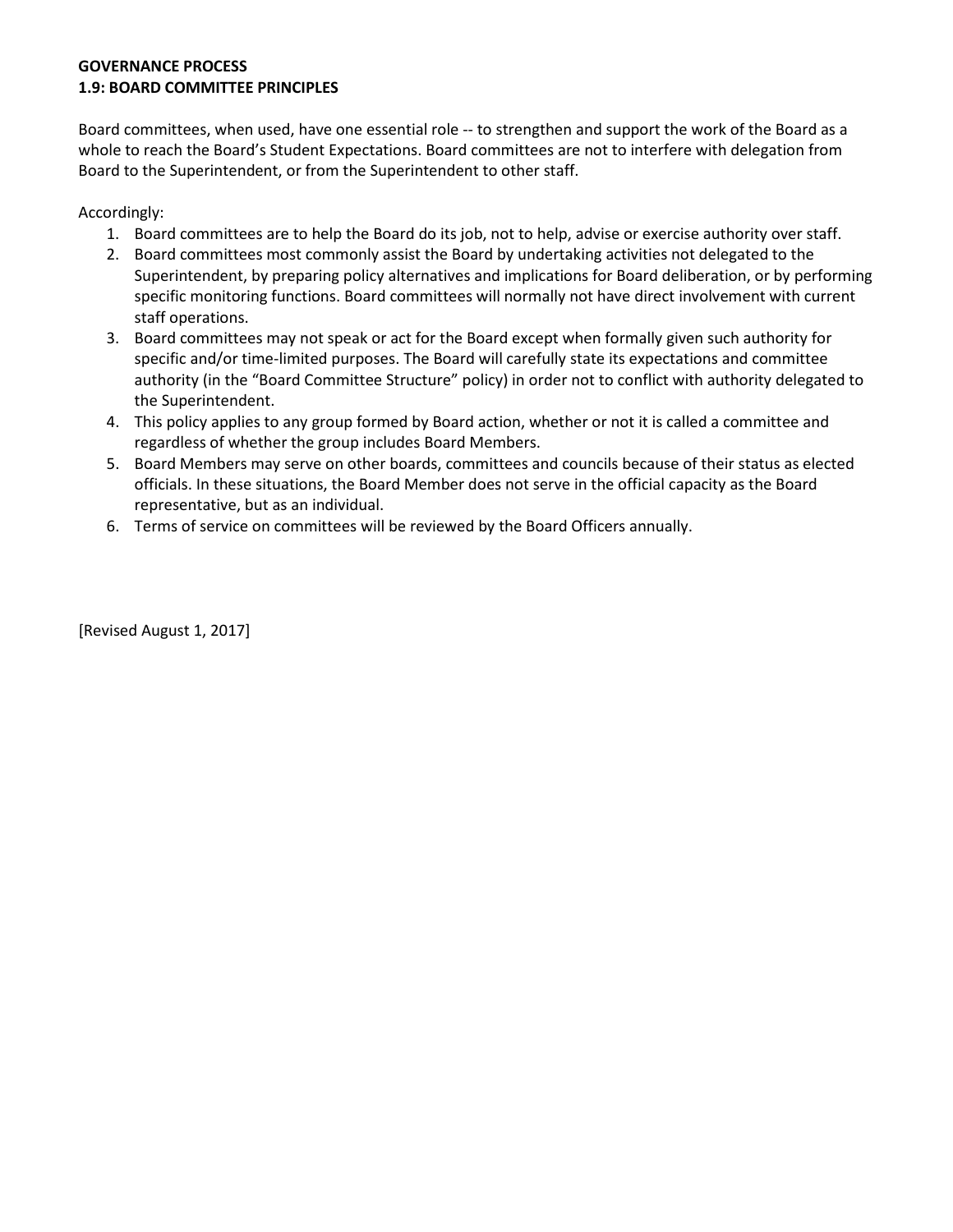# **GOVERNANCE PROCESS 1.9: BOARD COMMITTEE PRINCIPLES**

Board committees, when used, have one essential role -- to strengthen and support the work of the Board as a whole to reach the Board's Student Expectations. Board committees are not to interfere with delegation from Board to the Superintendent, or from the Superintendent to other staff.

Accordingly:

- 1. Board committees are to help the Board do its job, not to help, advise or exercise authority over staff.
- 2. Board committees most commonly assist the Board by undertaking activities not delegated to the Superintendent, by preparing policy alternatives and implications for Board deliberation, or by performing specific monitoring functions. Board committees will normally not have direct involvement with current staff operations.
- 3. Board committees may not speak or act for the Board except when formally given such authority for specific and/or time-limited purposes. The Board will carefully state its expectations and committee authority (in the "Board Committee Structure" policy) in order not to conflict with authority delegated to the Superintendent.
- 4. This policy applies to any group formed by Board action, whether or not it is called a committee and regardless of whether the group includes Board Members.
- 5. Board Members may serve on other boards, committees and councils because of their status as elected officials. In these situations, the Board Member does not serve in the official capacity as the Board representative, but as an individual.
- 6. Terms of service on committees will be reviewed by the Board Officers annually.

[Revised August 1, 2017]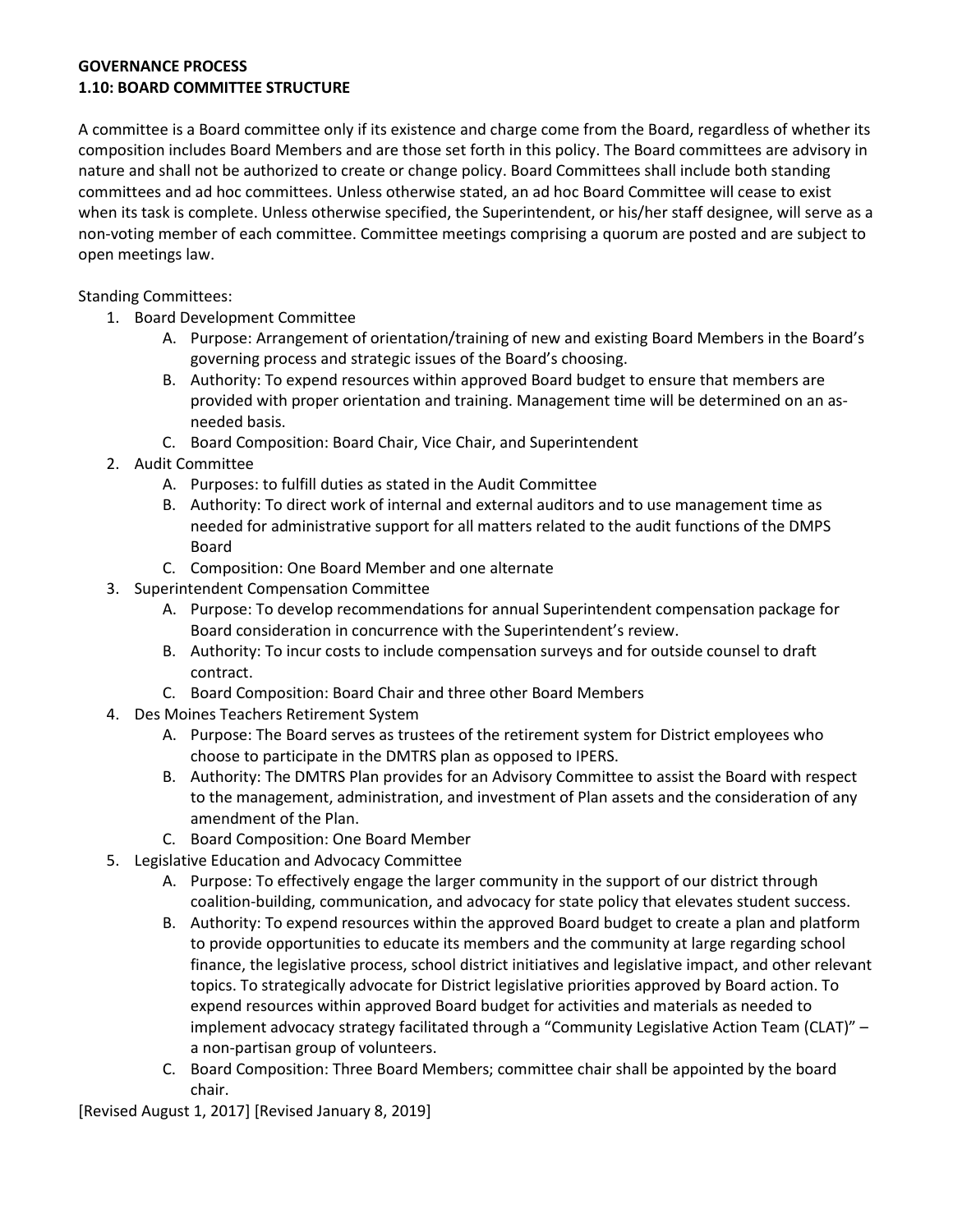#### **GOVERNANCE PROCESS 1.10: BOARD COMMITTEE STRUCTURE**

A committee is a Board committee only if its existence and charge come from the Board, regardless of whether its composition includes Board Members and are those set forth in this policy. The Board committees are advisory in nature and shall not be authorized to create or change policy. Board Committees shall include both standing committees and ad hoc committees. Unless otherwise stated, an ad hoc Board Committee will cease to exist when its task is complete. Unless otherwise specified, the Superintendent, or his/her staff designee, will serve as a non-voting member of each committee. Committee meetings comprising a quorum are posted and are subject to open meetings law.

Standing Committees:

- 1. Board Development Committee
	- A. Purpose: Arrangement of orientation/training of new and existing Board Members in the Board's governing process and strategic issues of the Board's choosing.
	- B. Authority: To expend resources within approved Board budget to ensure that members are provided with proper orientation and training. Management time will be determined on an asneeded basis.
	- C. Board Composition: Board Chair, Vice Chair, and Superintendent
- 2. Audit Committee
	- A. Purposes: to fulfill duties as stated in the Audit Committee
	- B. Authority: To direct work of internal and external auditors and to use management time as needed for administrative support for all matters related to the audit functions of the DMPS Board
	- C. Composition: One Board Member and one alternate
- 3. Superintendent Compensation Committee
	- A. Purpose: To develop recommendations for annual Superintendent compensation package for Board consideration in concurrence with the Superintendent's review.
	- B. Authority: To incur costs to include compensation surveys and for outside counsel to draft contract.
	- C. Board Composition: Board Chair and three other Board Members
- 4. Des Moines Teachers Retirement System
	- A. Purpose: The Board serves as trustees of the retirement system for District employees who choose to participate in the DMTRS plan as opposed to IPERS.
	- B. Authority: The DMTRS Plan provides for an Advisory Committee to assist the Board with respect to the management, administration, and investment of Plan assets and the consideration of any amendment of the Plan.
	- C. Board Composition: One Board Member
- 5. Legislative Education and Advocacy Committee
	- A. Purpose: To effectively engage the larger community in the support of our district through coalition-building, communication, and advocacy for state policy that elevates student success.
	- B. Authority: To expend resources within the approved Board budget to create a plan and platform to provide opportunities to educate its members and the community at large regarding school finance, the legislative process, school district initiatives and legislative impact, and other relevant topics. To strategically advocate for District legislative priorities approved by Board action. To expend resources within approved Board budget for activities and materials as needed to implement advocacy strategy facilitated through a "Community Legislative Action Team (CLAT)" – a non-partisan group of volunteers.
	- C. Board Composition: Three Board Members; committee chair shall be appointed by the board chair.

[Revised August 1, 2017] [Revised January 8, 2019]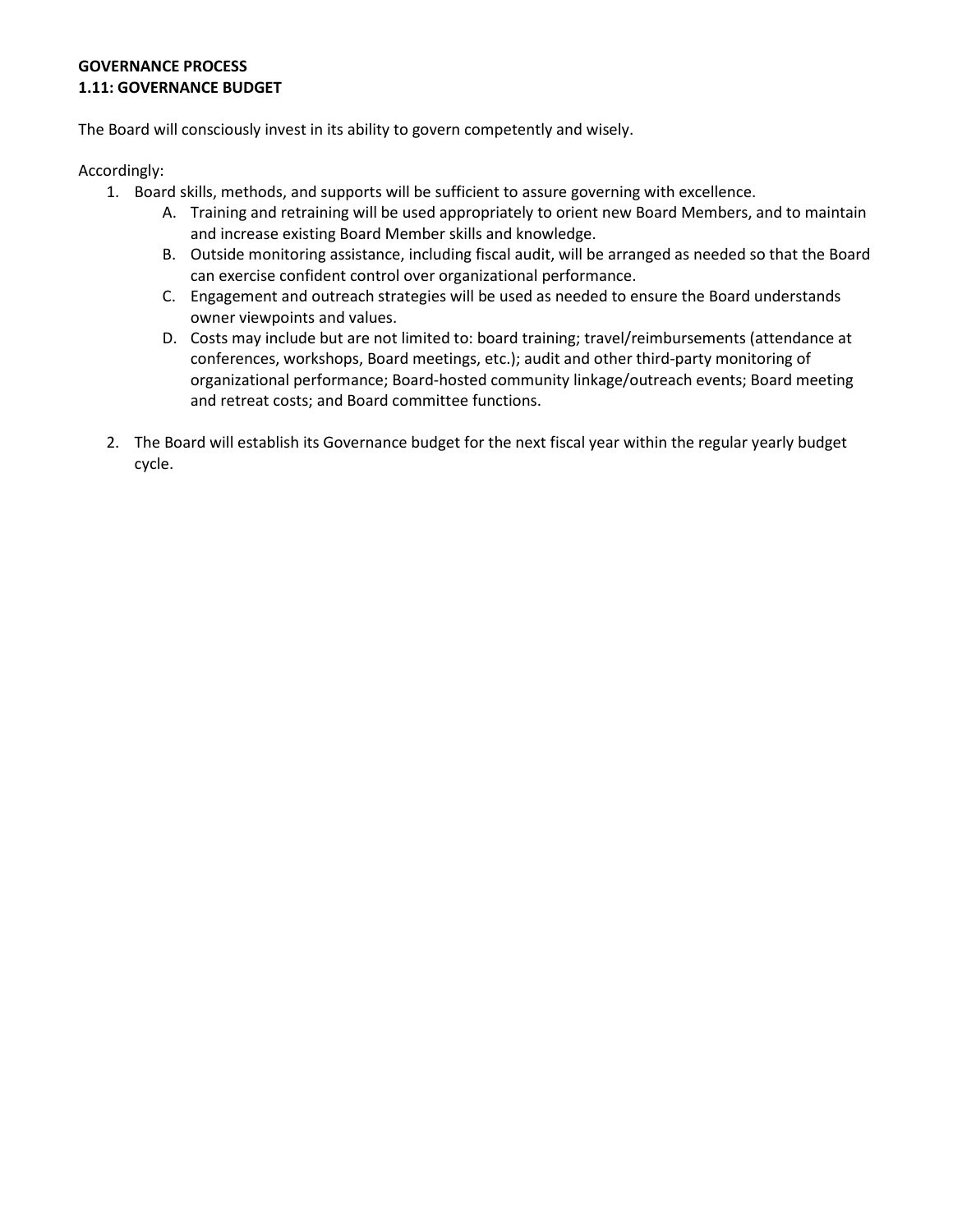# **GOVERNANCE PROCESS 1.11: GOVERNANCE BUDGET**

The Board will consciously invest in its ability to govern competently and wisely.

Accordingly:

- 1. Board skills, methods, and supports will be sufficient to assure governing with excellence.
	- A. Training and retraining will be used appropriately to orient new Board Members, and to maintain and increase existing Board Member skills and knowledge.
	- B. Outside monitoring assistance, including fiscal audit, will be arranged as needed so that the Board can exercise confident control over organizational performance.
	- C. Engagement and outreach strategies will be used as needed to ensure the Board understands owner viewpoints and values.
	- D. Costs may include but are not limited to: board training; travel/reimbursements (attendance at conferences, workshops, Board meetings, etc.); audit and other third-party monitoring of organizational performance; Board-hosted community linkage/outreach events; Board meeting and retreat costs; and Board committee functions.
- 2. The Board will establish its Governance budget for the next fiscal year within the regular yearly budget cycle.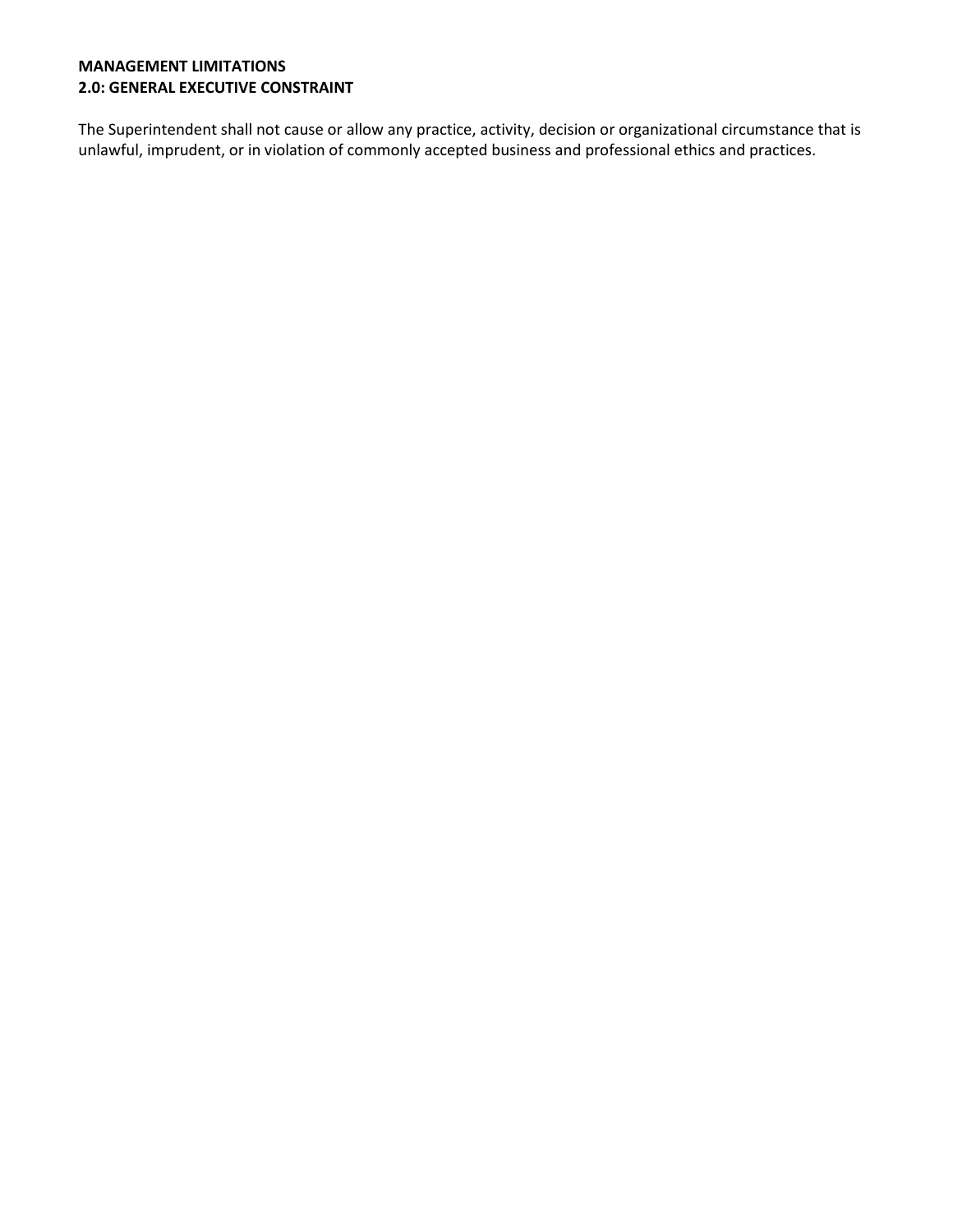### **MANAGEMENT LIMITATIONS 2.0: GENERAL EXECUTIVE CONSTRAINT**

The Superintendent shall not cause or allow any practice, activity, decision or organizational circumstance that is unlawful, imprudent, or in violation of commonly accepted business and professional ethics and practices.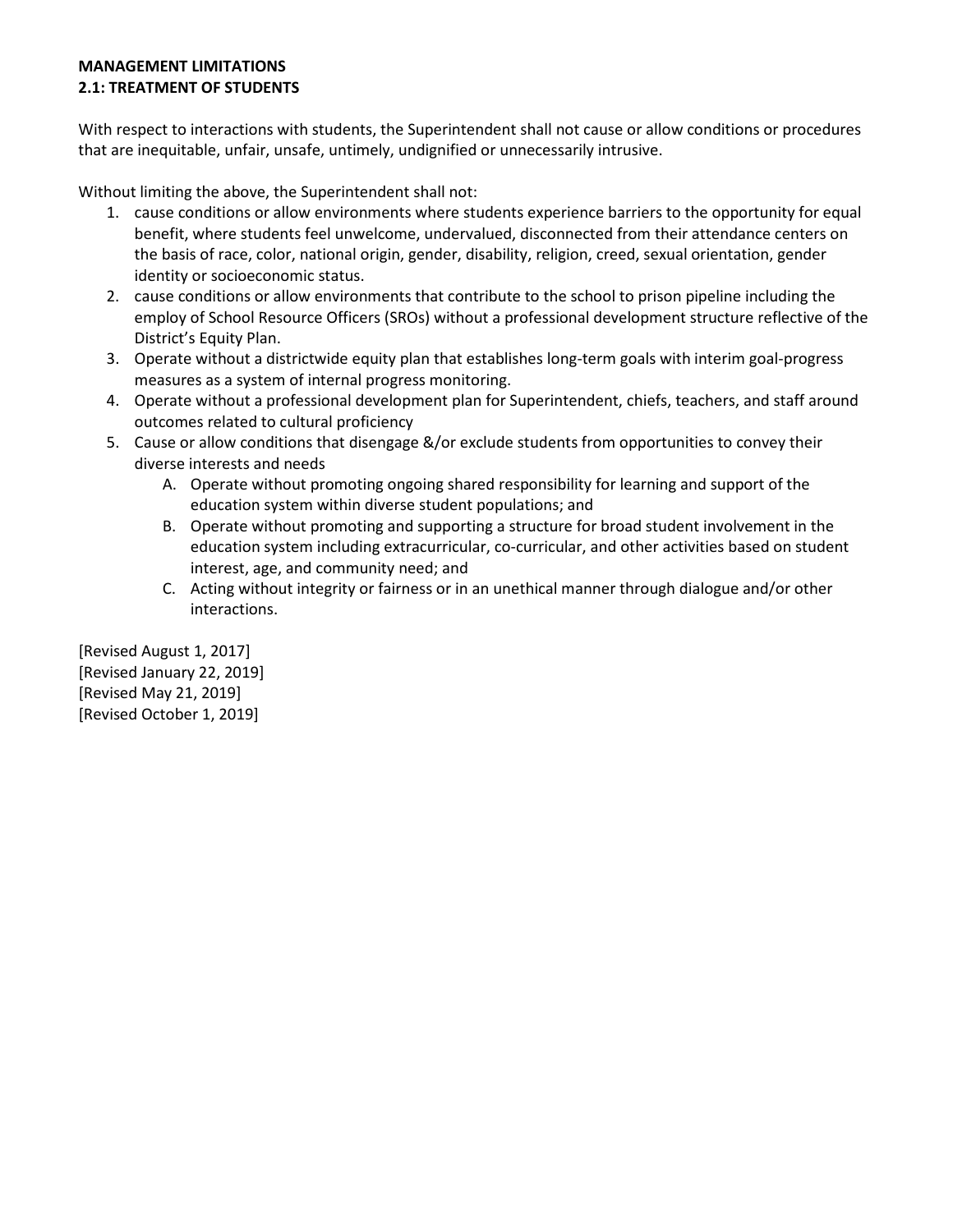# **MANAGEMENT LIMITATIONS 2.1: TREATMENT OF STUDENTS**

With respect to interactions with students, the Superintendent shall not cause or allow conditions or procedures that are inequitable, unfair, unsafe, untimely, undignified or unnecessarily intrusive.

Without limiting the above, the Superintendent shall not:

- 1. cause conditions or allow environments where students experience barriers to the opportunity for equal benefit, where students feel unwelcome, undervalued, disconnected from their attendance centers on the basis of race, color, national origin, gender, disability, religion, creed, sexual orientation, gender identity or socioeconomic status.
- 2. cause conditions or allow environments that contribute to the school to prison pipeline including the employ of School Resource Officers (SROs) without a professional development structure reflective of the District's Equity Plan.
- 3. Operate without a districtwide equity plan that establishes long-term goals with interim goal-progress measures as a system of internal progress monitoring.
- 4. Operate without a professional development plan for Superintendent, chiefs, teachers, and staff around outcomes related to cultural proficiency
- 5. Cause or allow conditions that disengage &/or exclude students from opportunities to convey their diverse interests and needs
	- A. Operate without promoting ongoing shared responsibility for learning and support of the education system within diverse student populations; and
	- B. Operate without promoting and supporting a structure for broad student involvement in the education system including extracurricular, co-curricular, and other activities based on student interest, age, and community need; and
	- C. Acting without integrity or fairness or in an unethical manner through dialogue and/or other interactions.

[Revised August 1, 2017] [Revised January 22, 2019] [Revised May 21, 2019] [Revised October 1, 2019]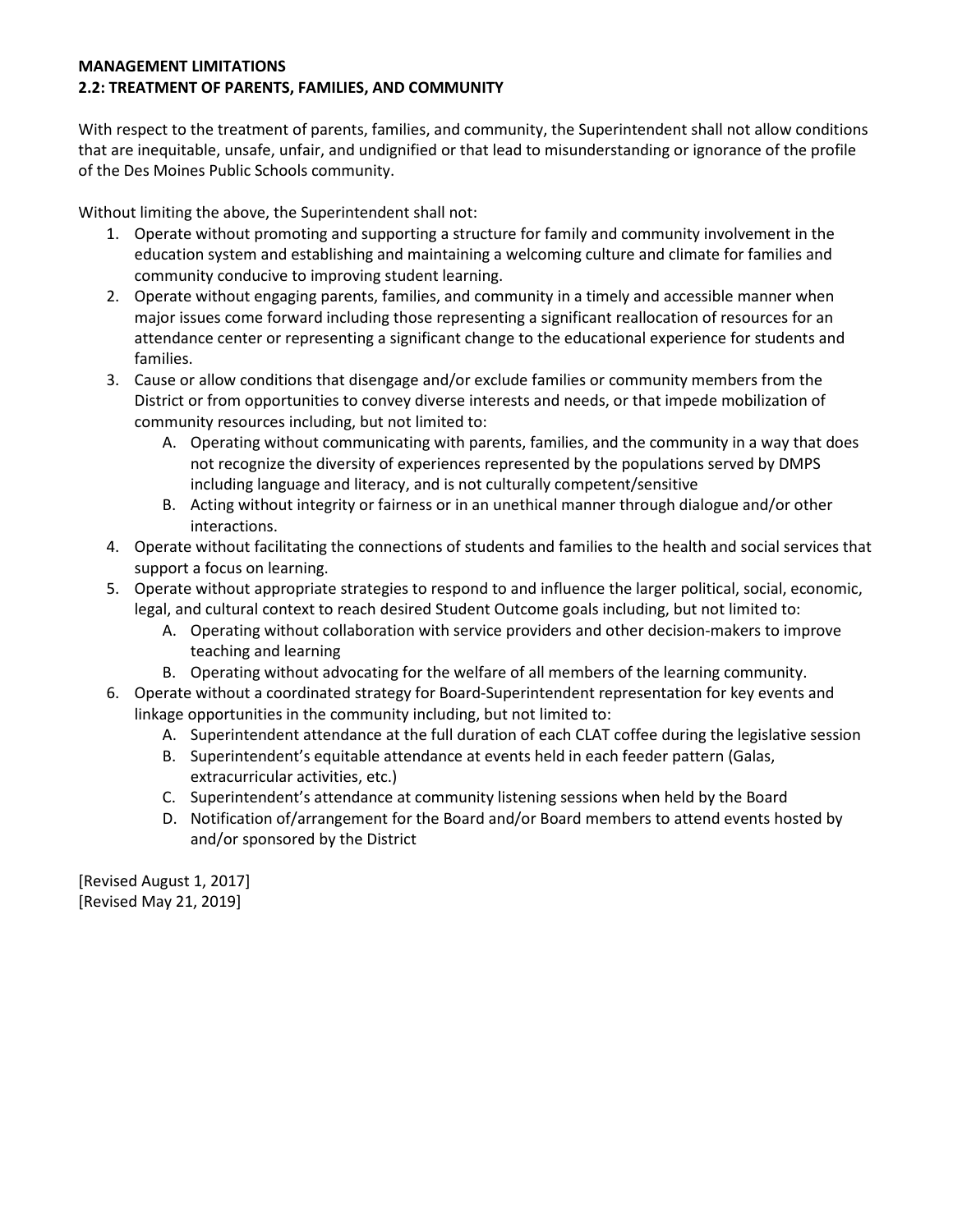# **MANAGEMENT LIMITATIONS 2.2: TREATMENT OF PARENTS, FAMILIES, AND COMMUNITY**

With respect to the treatment of parents, families, and community, the Superintendent shall not allow conditions that are inequitable, unsafe, unfair, and undignified or that lead to misunderstanding or ignorance of the profile of the Des Moines Public Schools community.

Without limiting the above, the Superintendent shall not:

- 1. Operate without promoting and supporting a structure for family and community involvement in the education system and establishing and maintaining a welcoming culture and climate for families and community conducive to improving student learning.
- 2. Operate without engaging parents, families, and community in a timely and accessible manner when major issues come forward including those representing a significant reallocation of resources for an attendance center or representing a significant change to the educational experience for students and families.
- 3. Cause or allow conditions that disengage and/or exclude families or community members from the District or from opportunities to convey diverse interests and needs, or that impede mobilization of community resources including, but not limited to:
	- A. Operating without communicating with parents, families, and the community in a way that does not recognize the diversity of experiences represented by the populations served by DMPS including language and literacy, and is not culturally competent/sensitive
	- B. Acting without integrity or fairness or in an unethical manner through dialogue and/or other interactions.
- 4. Operate without facilitating the connections of students and families to the health and social services that support a focus on learning.
- 5. Operate without appropriate strategies to respond to and influence the larger political, social, economic, legal, and cultural context to reach desired Student Outcome goals including, but not limited to:
	- A. Operating without collaboration with service providers and other decision-makers to improve teaching and learning
	- B. Operating without advocating for the welfare of all members of the learning community.
- 6. Operate without a coordinated strategy for Board-Superintendent representation for key events and linkage opportunities in the community including, but not limited to:
	- A. Superintendent attendance at the full duration of each CLAT coffee during the legislative session
	- B. Superintendent's equitable attendance at events held in each feeder pattern (Galas, extracurricular activities, etc.)
	- C. Superintendent's attendance at community listening sessions when held by the Board
	- D. Notification of/arrangement for the Board and/or Board members to attend events hosted by and/or sponsored by the District

[Revised August 1, 2017] [Revised May 21, 2019]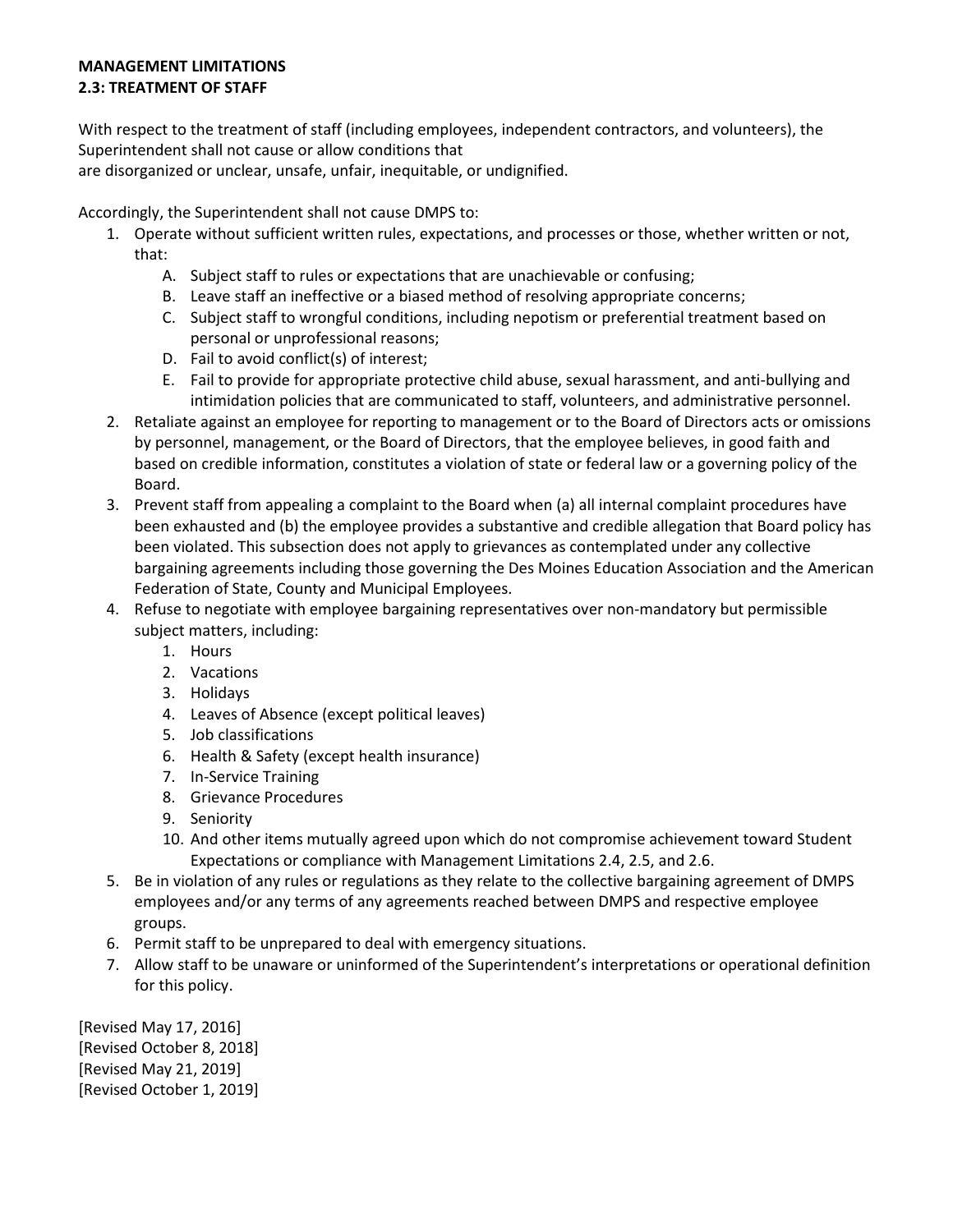# **MANAGEMENT LIMITATIONS 2.3: TREATMENT OF STAFF**

With respect to the treatment of staff (including employees, independent contractors, and volunteers), the Superintendent shall not cause or allow conditions that

are disorganized or unclear, unsafe, unfair, inequitable, or undignified.

Accordingly, the Superintendent shall not cause DMPS to:

- 1. Operate without sufficient written rules, expectations, and processes or those, whether written or not, that:
	- A. Subject staff to rules or expectations that are unachievable or confusing;
	- B. Leave staff an ineffective or a biased method of resolving appropriate concerns;
	- C. Subject staff to wrongful conditions, including nepotism or preferential treatment based on personal or unprofessional reasons;
	- D. Fail to avoid conflict(s) of interest;
	- E. Fail to provide for appropriate protective child abuse, sexual harassment, and anti-bullying and intimidation policies that are communicated to staff, volunteers, and administrative personnel.
- 2. Retaliate against an employee for reporting to management or to the Board of Directors acts or omissions by personnel, management, or the Board of Directors, that the employee believes, in good faith and based on credible information, constitutes a violation of state or federal law or a governing policy of the Board.
- 3. Prevent staff from appealing a complaint to the Board when (a) all internal complaint procedures have been exhausted and (b) the employee provides a substantive and credible allegation that Board policy has been violated. This subsection does not apply to grievances as contemplated under any collective bargaining agreements including those governing the Des Moines Education Association and the American Federation of State, County and Municipal Employees.
- 4. Refuse to negotiate with employee bargaining representatives over non-mandatory but permissible subject matters, including:
	- 1. Hours
	- 2. Vacations
	- 3. Holidays
	- 4. Leaves of Absence (except political leaves)
	- 5. Job classifications
	- 6. Health & Safety (except health insurance)
	- 7. In-Service Training
	- 8. Grievance Procedures
	- 9. Seniority
	- 10. And other items mutually agreed upon which do not compromise achievement toward Student Expectations or compliance with Management Limitations 2.4, 2.5, and 2.6.
- 5. Be in violation of any rules or regulations as they relate to the collective bargaining agreement of DMPS employees and/or any terms of any agreements reached between DMPS and respective employee groups.
- 6. Permit staff to be unprepared to deal with emergency situations.
- 7. Allow staff to be unaware or uninformed of the Superintendent's interpretations or operational definition for this policy.

[Revised May 17, 2016] [Revised October 8, 2018] [Revised May 21, 2019] [Revised October 1, 2019]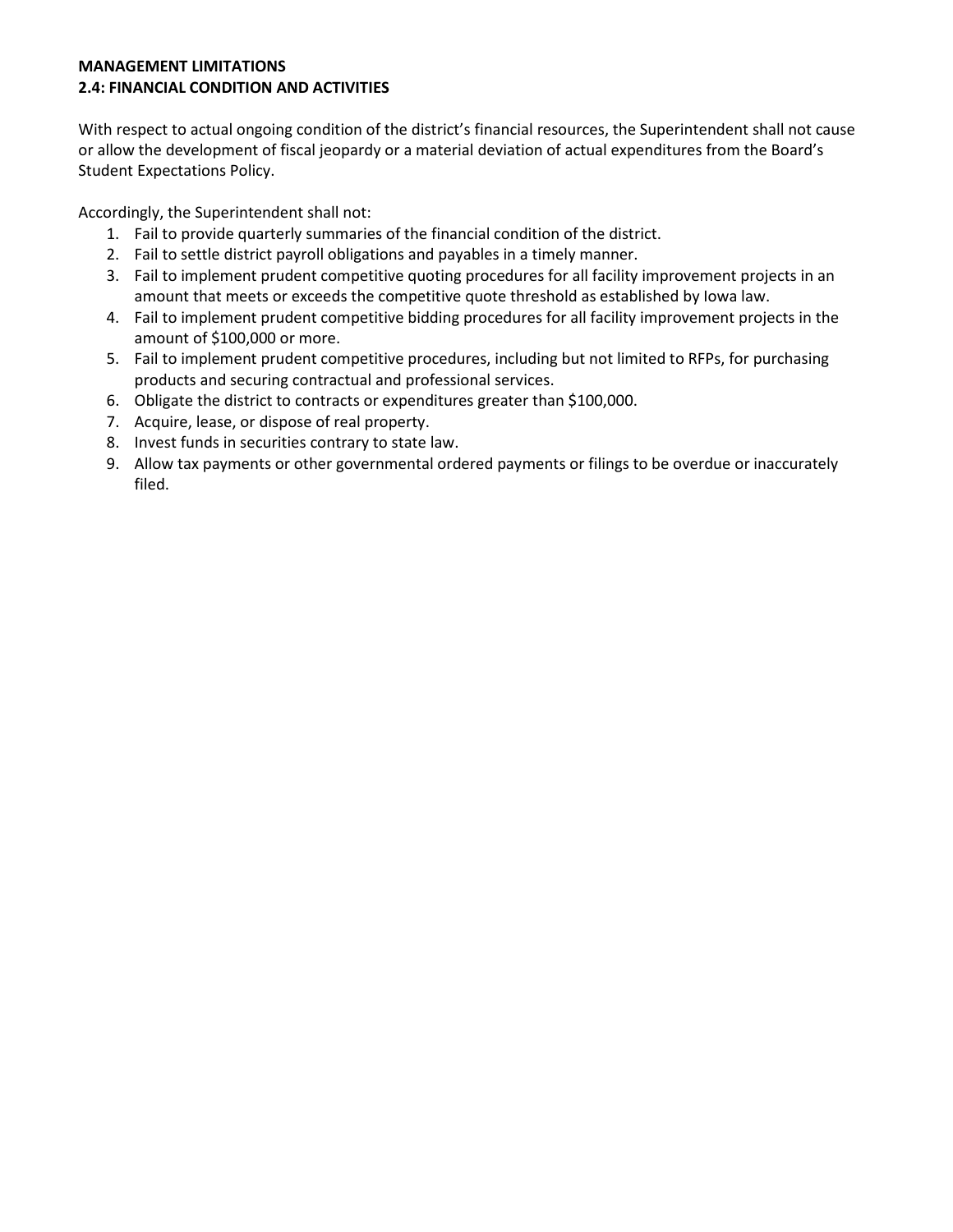# **MANAGEMENT LIMITATIONS 2.4: FINANCIAL CONDITION AND ACTIVITIES**

With respect to actual ongoing condition of the district's financial resources, the Superintendent shall not cause or allow the development of fiscal jeopardy or a material deviation of actual expenditures from the Board's Student Expectations Policy.

Accordingly, the Superintendent shall not:

- 1. Fail to provide quarterly summaries of the financial condition of the district.
- 2. Fail to settle district payroll obligations and payables in a timely manner.
- 3. Fail to implement prudent competitive quoting procedures for all facility improvement projects in an amount that meets or exceeds the competitive quote threshold as established by Iowa law.
- 4. Fail to implement prudent competitive bidding procedures for all facility improvement projects in the amount of \$100,000 or more.
- 5. Fail to implement prudent competitive procedures, including but not limited to RFPs, for purchasing products and securing contractual and professional services.
- 6. Obligate the district to contracts or expenditures greater than \$100,000.
- 7. Acquire, lease, or dispose of real property.
- 8. Invest funds in securities contrary to state law.
- 9. Allow tax payments or other governmental ordered payments or filings to be overdue or inaccurately filed.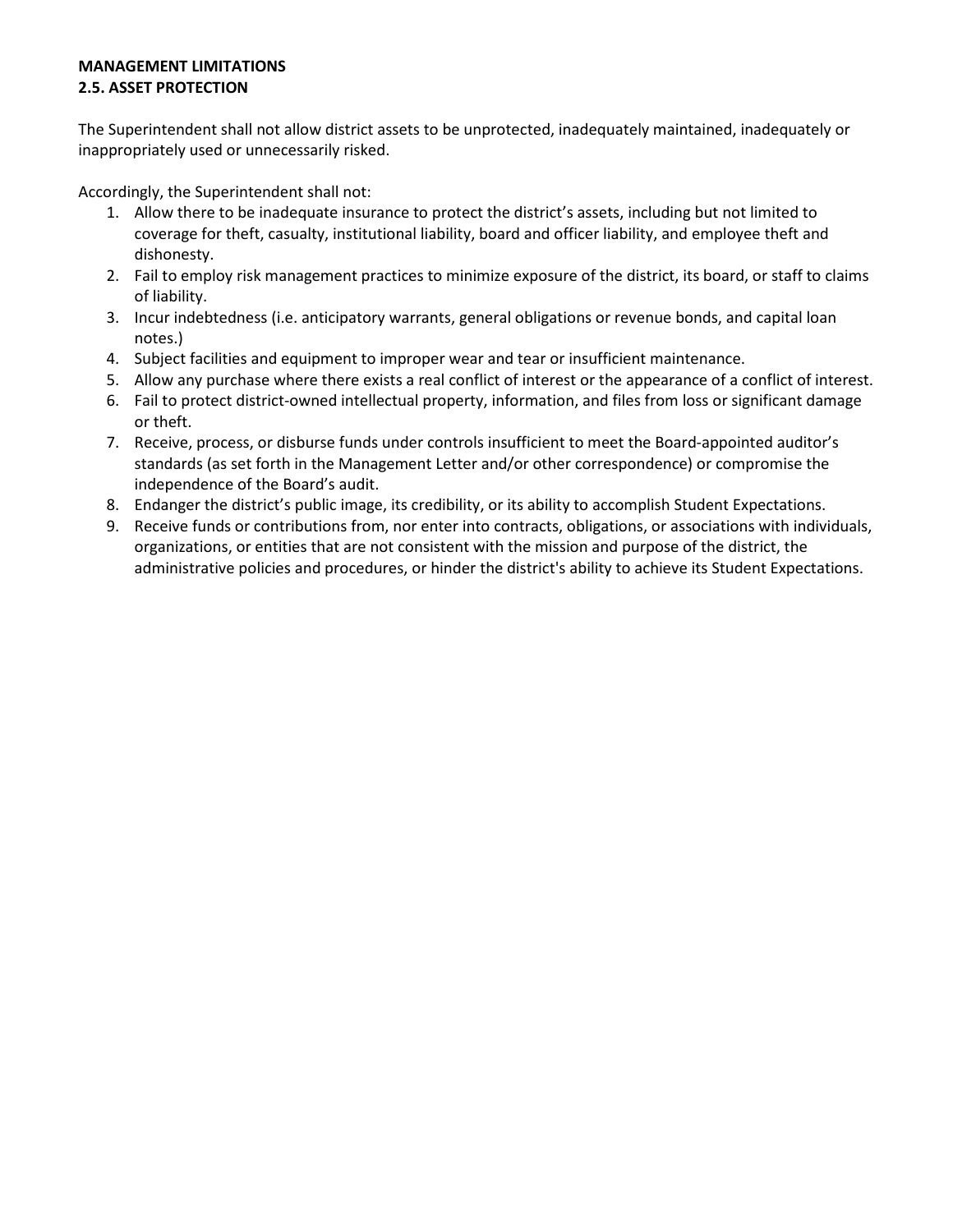#### **MANAGEMENT LIMITATIONS 2.5. ASSET PROTECTION**

The Superintendent shall not allow district assets to be unprotected, inadequately maintained, inadequately or inappropriately used or unnecessarily risked.

Accordingly, the Superintendent shall not:

- 1. Allow there to be inadequate insurance to protect the district's assets, including but not limited to coverage for theft, casualty, institutional liability, board and officer liability, and employee theft and dishonesty.
- 2. Fail to employ risk management practices to minimize exposure of the district, its board, or staff to claims of liability.
- 3. Incur indebtedness (i.e. anticipatory warrants, general obligations or revenue bonds, and capital loan notes.)
- 4. Subject facilities and equipment to improper wear and tear or insufficient maintenance.
- 5. Allow any purchase where there exists a real conflict of interest or the appearance of a conflict of interest.
- 6. Fail to protect district-owned intellectual property, information, and files from loss or significant damage or theft.
- 7. Receive, process, or disburse funds under controls insufficient to meet the Board-appointed auditor's standards (as set forth in the Management Letter and/or other correspondence) or compromise the independence of the Board's audit.
- 8. Endanger the district's public image, its credibility, or its ability to accomplish Student Expectations.
- 9. Receive funds or contributions from, nor enter into contracts, obligations, or associations with individuals, organizations, or entities that are not consistent with the mission and purpose of the district, the administrative policies and procedures, or hinder the district's ability to achieve its Student Expectations.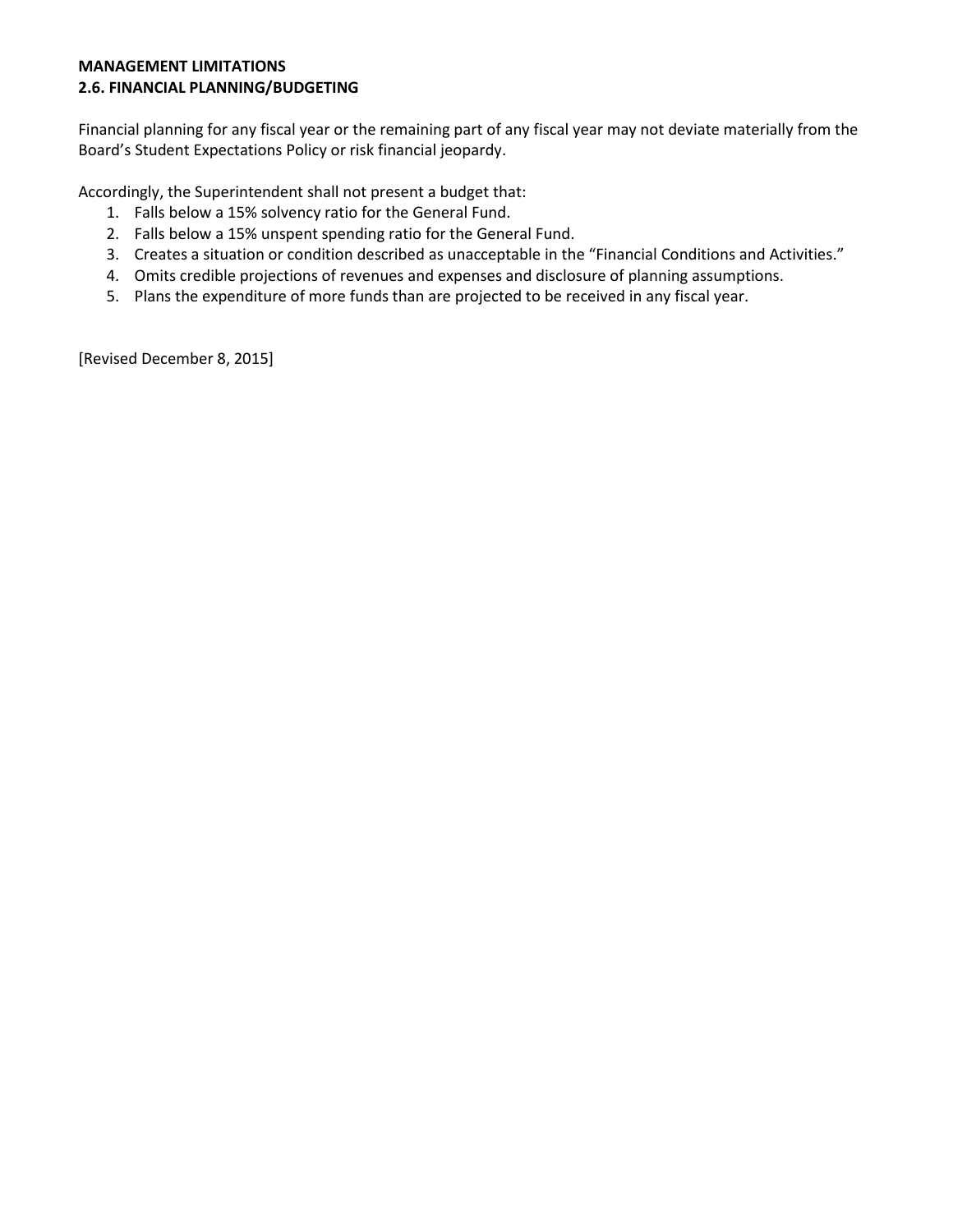#### **MANAGEMENT LIMITATIONS 2.6. FINANCIAL PLANNING/BUDGETING**

Financial planning for any fiscal year or the remaining part of any fiscal year may not deviate materially from the Board's Student Expectations Policy or risk financial jeopardy.

Accordingly, the Superintendent shall not present a budget that:

- 1. Falls below a 15% solvency ratio for the General Fund.
- 2. Falls below a 15% unspent spending ratio for the General Fund.
- 3. Creates a situation or condition described as unacceptable in the "Financial Conditions and Activities."
- 4. Omits credible projections of revenues and expenses and disclosure of planning assumptions.
- 5. Plans the expenditure of more funds than are projected to be received in any fiscal year.

[Revised December 8, 2015]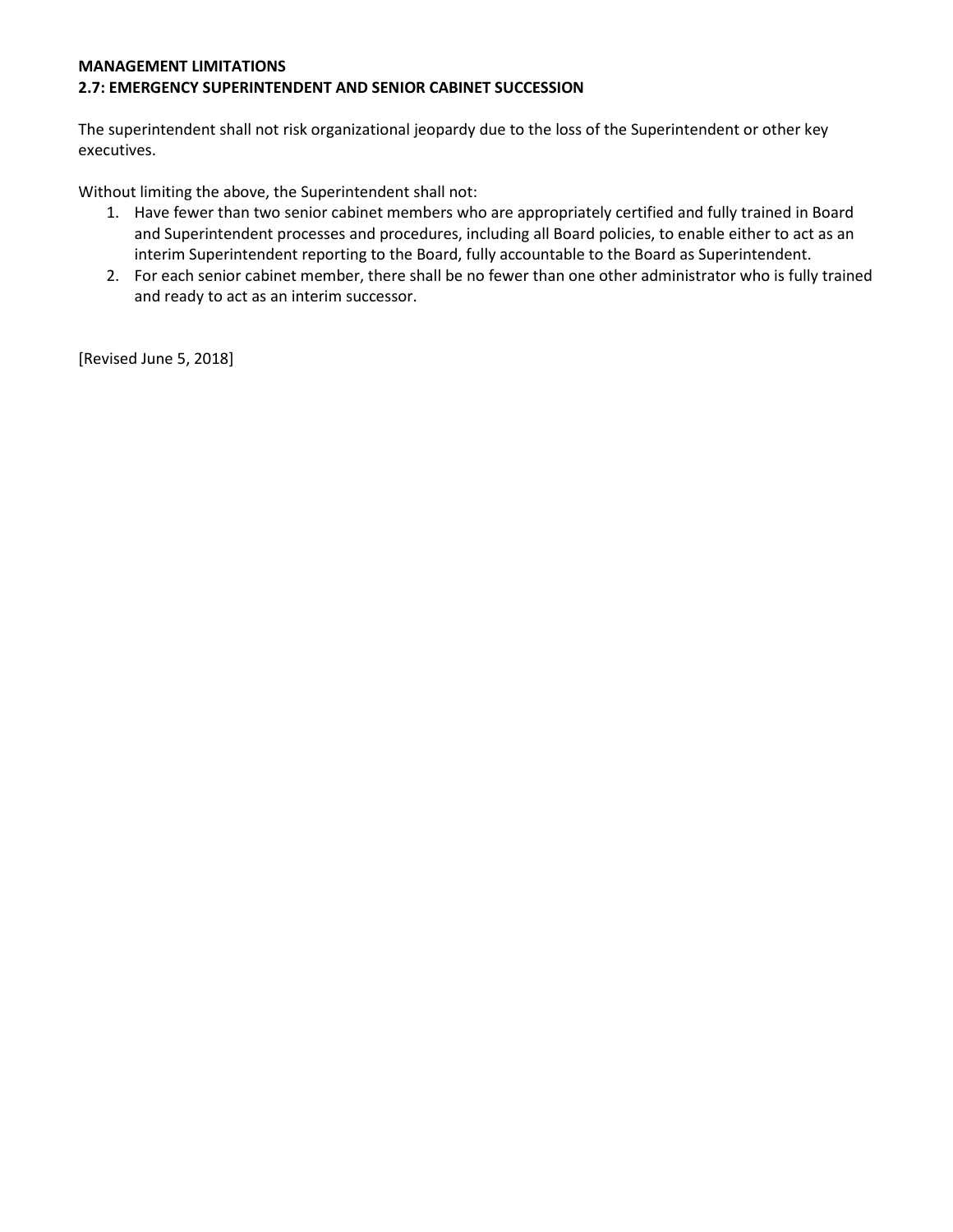#### **MANAGEMENT LIMITATIONS 2.7: EMERGENCY SUPERINTENDENT AND SENIOR CABINET SUCCESSION**

The superintendent shall not risk organizational jeopardy due to the loss of the Superintendent or other key executives.

Without limiting the above, the Superintendent shall not:

- 1. Have fewer than two senior cabinet members who are appropriately certified and fully trained in Board and Superintendent processes and procedures, including all Board policies, to enable either to act as an interim Superintendent reporting to the Board, fully accountable to the Board as Superintendent.
- 2. For each senior cabinet member, there shall be no fewer than one other administrator who is fully trained and ready to act as an interim successor.

[Revised June 5, 2018]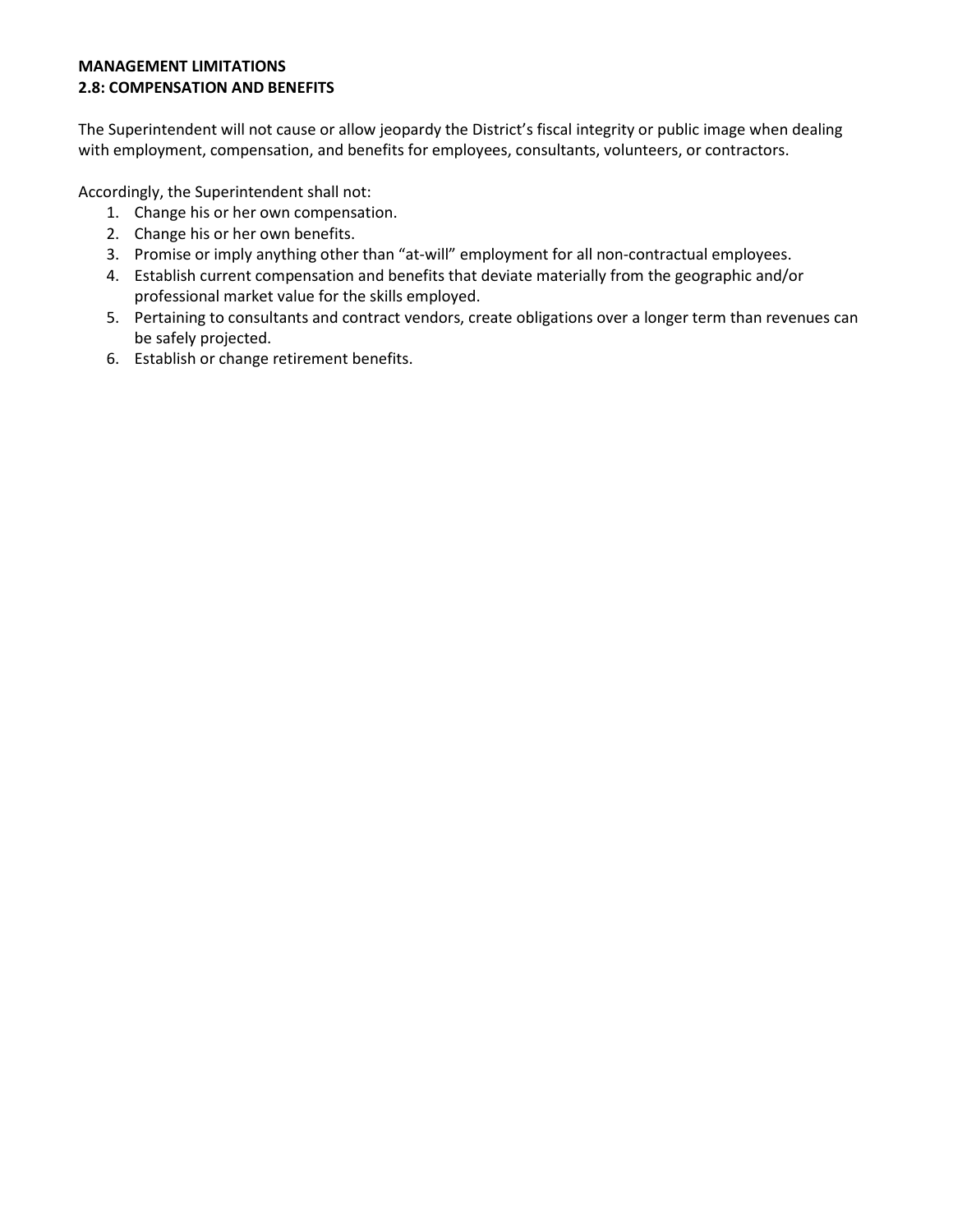# **MANAGEMENT LIMITATIONS 2.8: COMPENSATION AND BENEFITS**

The Superintendent will not cause or allow jeopardy the District's fiscal integrity or public image when dealing with employment, compensation, and benefits for employees, consultants, volunteers, or contractors.

Accordingly, the Superintendent shall not:

- 1. Change his or her own compensation.
- 2. Change his or her own benefits.
- 3. Promise or imply anything other than "at-will" employment for all non-contractual employees.
- 4. Establish current compensation and benefits that deviate materially from the geographic and/or professional market value for the skills employed.
- 5. Pertaining to consultants and contract vendors, create obligations over a longer term than revenues can be safely projected.
- 6. Establish or change retirement benefits.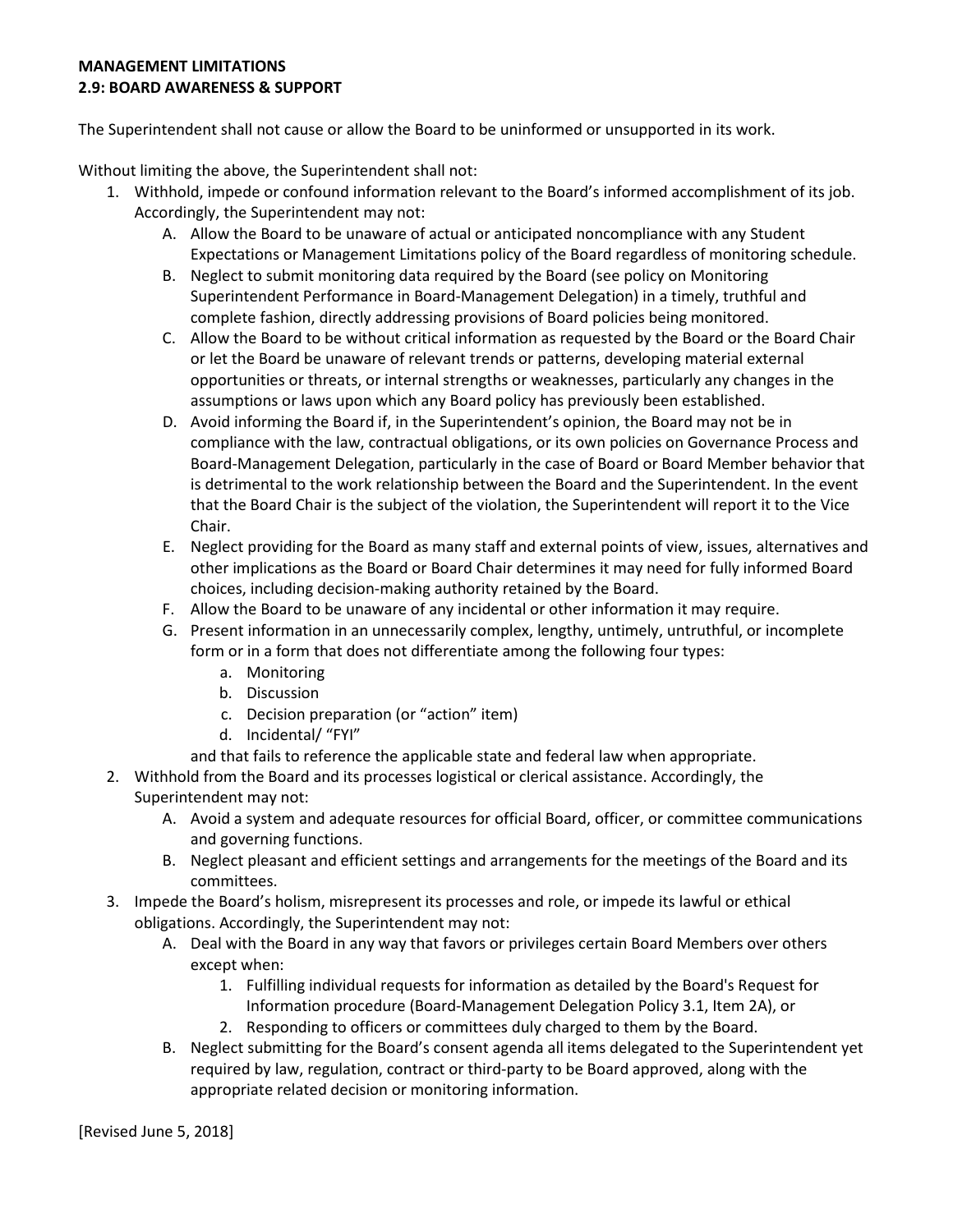#### **MANAGEMENT LIMITATIONS 2.9: BOARD AWARENESS & SUPPORT**

The Superintendent shall not cause or allow the Board to be uninformed or unsupported in its work.

Without limiting the above, the Superintendent shall not:

- 1. Withhold, impede or confound information relevant to the Board's informed accomplishment of its job. Accordingly, the Superintendent may not:
	- A. Allow the Board to be unaware of actual or anticipated noncompliance with any Student Expectations or Management Limitations policy of the Board regardless of monitoring schedule.
	- B. Neglect to submit monitoring data required by the Board (see policy on Monitoring Superintendent Performance in Board-Management Delegation) in a timely, truthful and complete fashion, directly addressing provisions of Board policies being monitored.
	- C. Allow the Board to be without critical information as requested by the Board or the Board Chair or let the Board be unaware of relevant trends or patterns, developing material external opportunities or threats, or internal strengths or weaknesses, particularly any changes in the assumptions or laws upon which any Board policy has previously been established.
	- D. Avoid informing the Board if, in the Superintendent's opinion, the Board may not be in compliance with the law, contractual obligations, or its own policies on Governance Process and Board-Management Delegation, particularly in the case of Board or Board Member behavior that is detrimental to the work relationship between the Board and the Superintendent. In the event that the Board Chair is the subject of the violation, the Superintendent will report it to the Vice Chair.
	- E. Neglect providing for the Board as many staff and external points of view, issues, alternatives and other implications as the Board or Board Chair determines it may need for fully informed Board choices, including decision-making authority retained by the Board.
	- F. Allow the Board to be unaware of any incidental or other information it may require.
	- G. Present information in an unnecessarily complex, lengthy, untimely, untruthful, or incomplete form or in a form that does not differentiate among the following four types:
		- a. Monitoring
		- b. Discussion
		- c. Decision preparation (or "action" item)
		- d. Incidental/ "FYI"
		- and that fails to reference the applicable state and federal law when appropriate.
- 2. Withhold from the Board and its processes logistical or clerical assistance. Accordingly, the Superintendent may not:
	- A. Avoid a system and adequate resources for official Board, officer, or committee communications and governing functions.
	- B. Neglect pleasant and efficient settings and arrangements for the meetings of the Board and its committees.
- 3. Impede the Board's holism, misrepresent its processes and role, or impede its lawful or ethical obligations. Accordingly, the Superintendent may not:
	- A. Deal with the Board in any way that favors or privileges certain Board Members over others except when:
		- 1. Fulfilling individual requests for information as detailed by the Board's Request for Information procedure (Board-Management Delegation Policy 3.1, Item 2A), or
		- 2. Responding to officers or committees duly charged to them by the Board.
	- B. Neglect submitting for the Board's consent agenda all items delegated to the Superintendent yet required by law, regulation, contract or third-party to be Board approved, along with the appropriate related decision or monitoring information.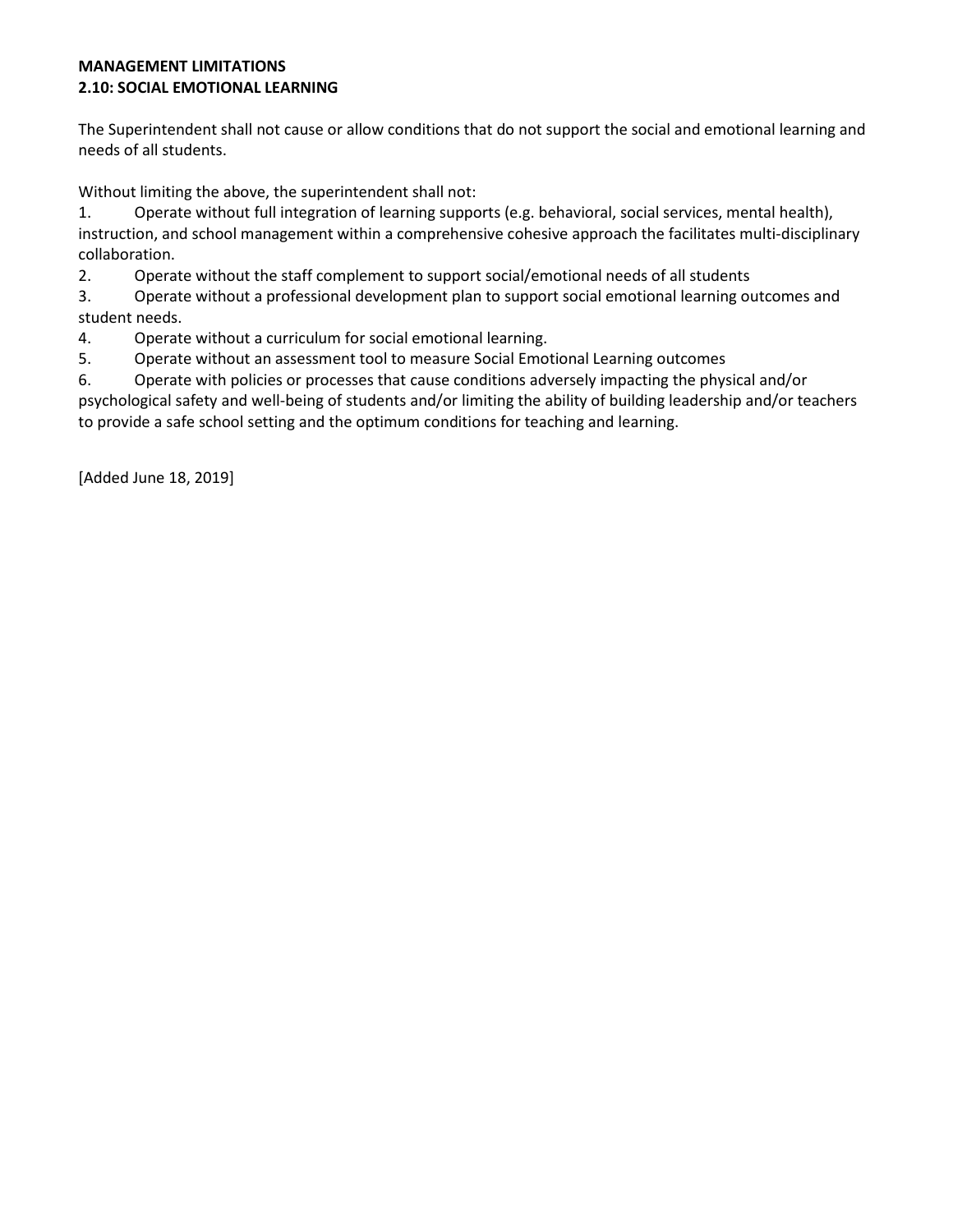## **MANAGEMENT LIMITATIONS 2.10: SOCIAL EMOTIONAL LEARNING**

The Superintendent shall not cause or allow conditions that do not support the social and emotional learning and needs of all students.

Without limiting the above, the superintendent shall not:

1. Operate without full integration of learning supports (e.g. behavioral, social services, mental health), instruction, and school management within a comprehensive cohesive approach the facilitates multi-disciplinary collaboration.

2. Operate without the staff complement to support social/emotional needs of all students

3. Operate without a professional development plan to support social emotional learning outcomes and student needs.

4. Operate without a curriculum for social emotional learning.

5. Operate without an assessment tool to measure Social Emotional Learning outcomes

6. Operate with policies or processes that cause conditions adversely impacting the physical and/or psychological safety and well-being of students and/or limiting the ability of building leadership and/or teachers to provide a safe school setting and the optimum conditions for teaching and learning.

[Added June 18, 2019]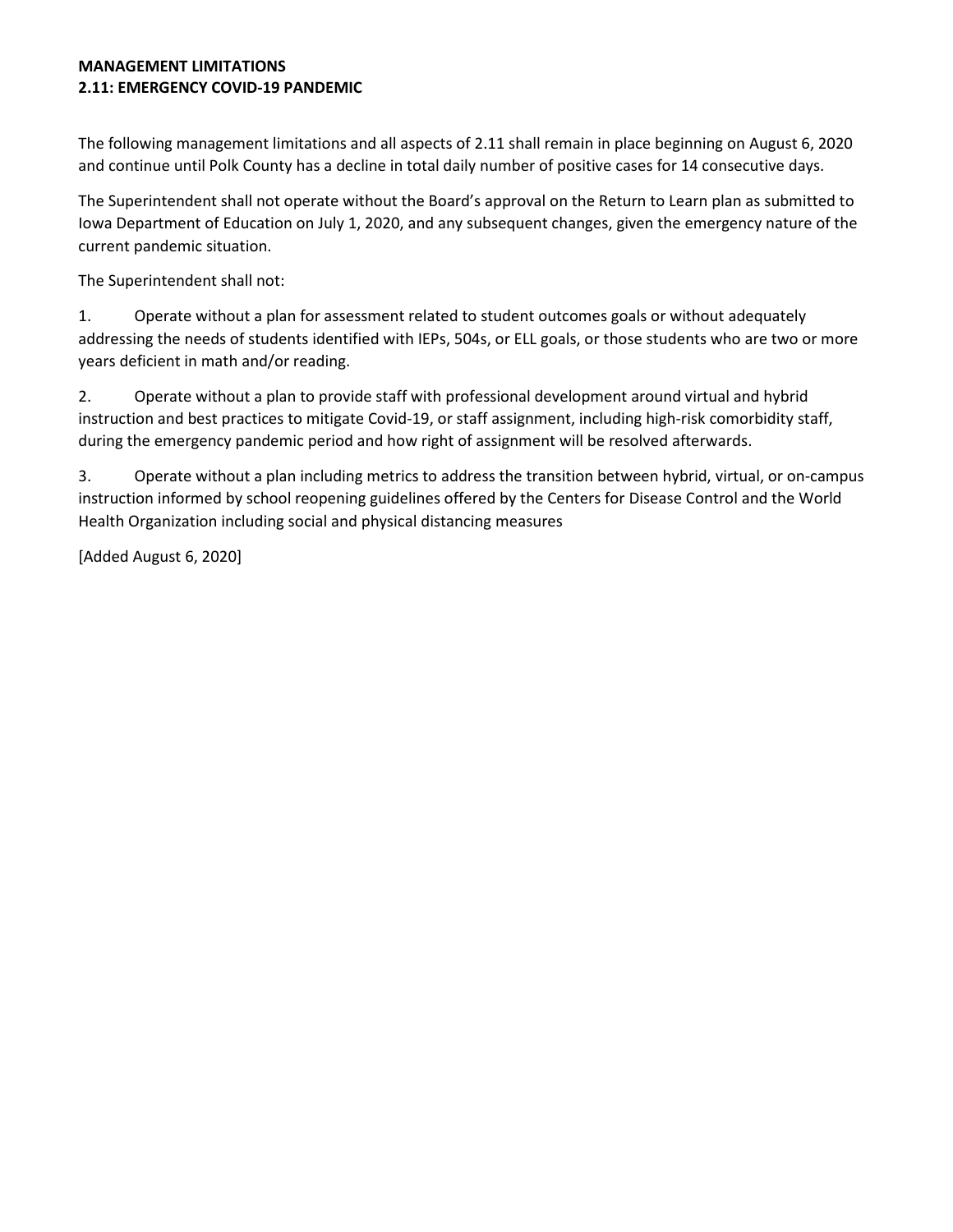#### **MANAGEMENT LIMITATIONS 2.11: EMERGENCY COVID-19 PANDEMIC**

The following management limitations and all aspects of 2.11 shall remain in place beginning on August 6, 2020 and continue until Polk County has a decline in total daily number of positive cases for 14 consecutive days.

The Superintendent shall not operate without the Board's approval on the Return to Learn plan as submitted to Iowa Department of Education on July 1, 2020, and any subsequent changes, given the emergency nature of the current pandemic situation.

The Superintendent shall not:

1. Operate without a plan for assessment related to student outcomes goals or without adequately addressing the needs of students identified with IEPs, 504s, or ELL goals, or those students who are two or more years deficient in math and/or reading.

2. Operate without a plan to provide staff with professional development around virtual and hybrid instruction and best practices to mitigate Covid-19, or staff assignment, including high-risk comorbidity staff, during the emergency pandemic period and how right of assignment will be resolved afterwards.

3. Operate without a plan including metrics to address the transition between hybrid, virtual, or on-campus instruction informed by school reopening guidelines offered by the Centers for Disease Control and the World Health Organization including social and physical distancing measures

[Added August 6, 2020]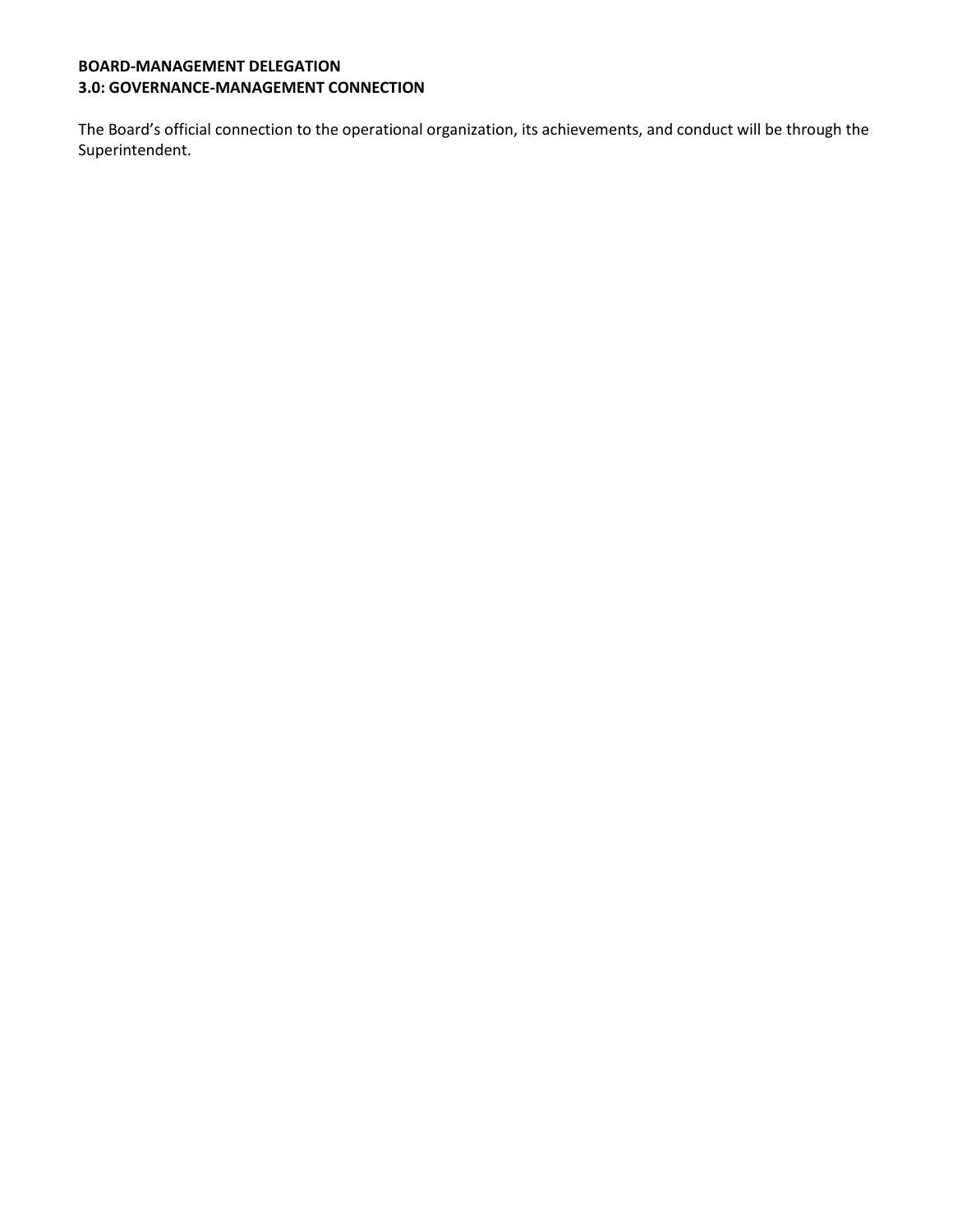# **BOARD-MANAGEMENT DELEGATION 3.0: GOVERNANCE-MANAGEMENT CONNECTION**

The Board's official connection to the operational organization, its achievements, and conduct will be through the Superintendent.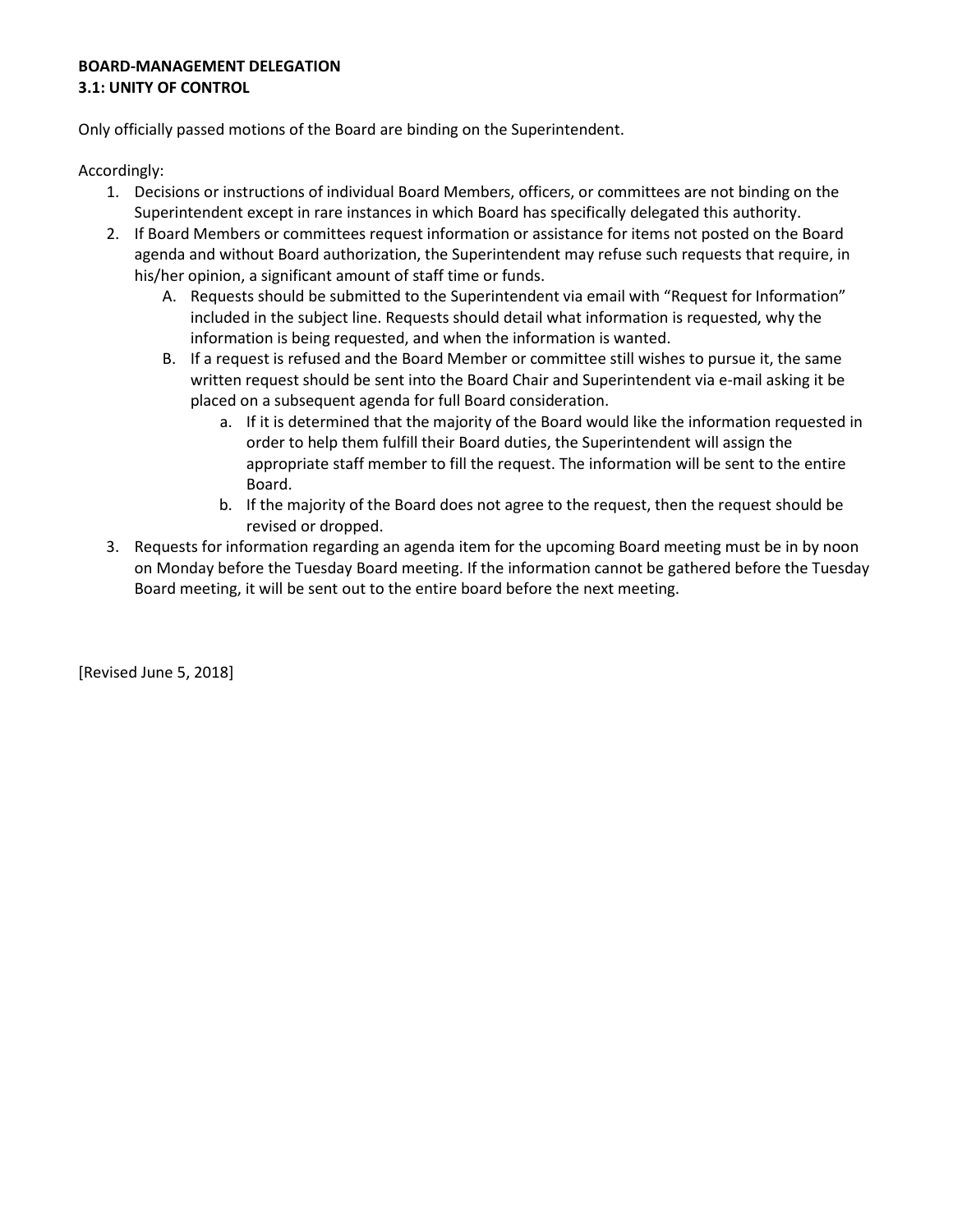# **BOARD-MANAGEMENT DELEGATION 3.1: UNITY OF CONTROL**

Only officially passed motions of the Board are binding on the Superintendent.

Accordingly:

- 1. Decisions or instructions of individual Board Members, officers, or committees are not binding on the Superintendent except in rare instances in which Board has specifically delegated this authority.
- 2. If Board Members or committees request information or assistance for items not posted on the Board agenda and without Board authorization, the Superintendent may refuse such requests that require, in his/her opinion, a significant amount of staff time or funds.
	- A. Requests should be submitted to the Superintendent via email with "Request for Information" included in the subject line. Requests should detail what information is requested, why the information is being requested, and when the information is wanted.
	- B. If a request is refused and the Board Member or committee still wishes to pursue it, the same written request should be sent into the Board Chair and Superintendent via e-mail asking it be placed on a subsequent agenda for full Board consideration.
		- a. If it is determined that the majority of the Board would like the information requested in order to help them fulfill their Board duties, the Superintendent will assign the appropriate staff member to fill the request. The information will be sent to the entire Board.
		- b. If the majority of the Board does not agree to the request, then the request should be revised or dropped.
- 3. Requests for information regarding an agenda item for the upcoming Board meeting must be in by noon on Monday before the Tuesday Board meeting. If the information cannot be gathered before the Tuesday Board meeting, it will be sent out to the entire board before the next meeting.

[Revised June 5, 2018]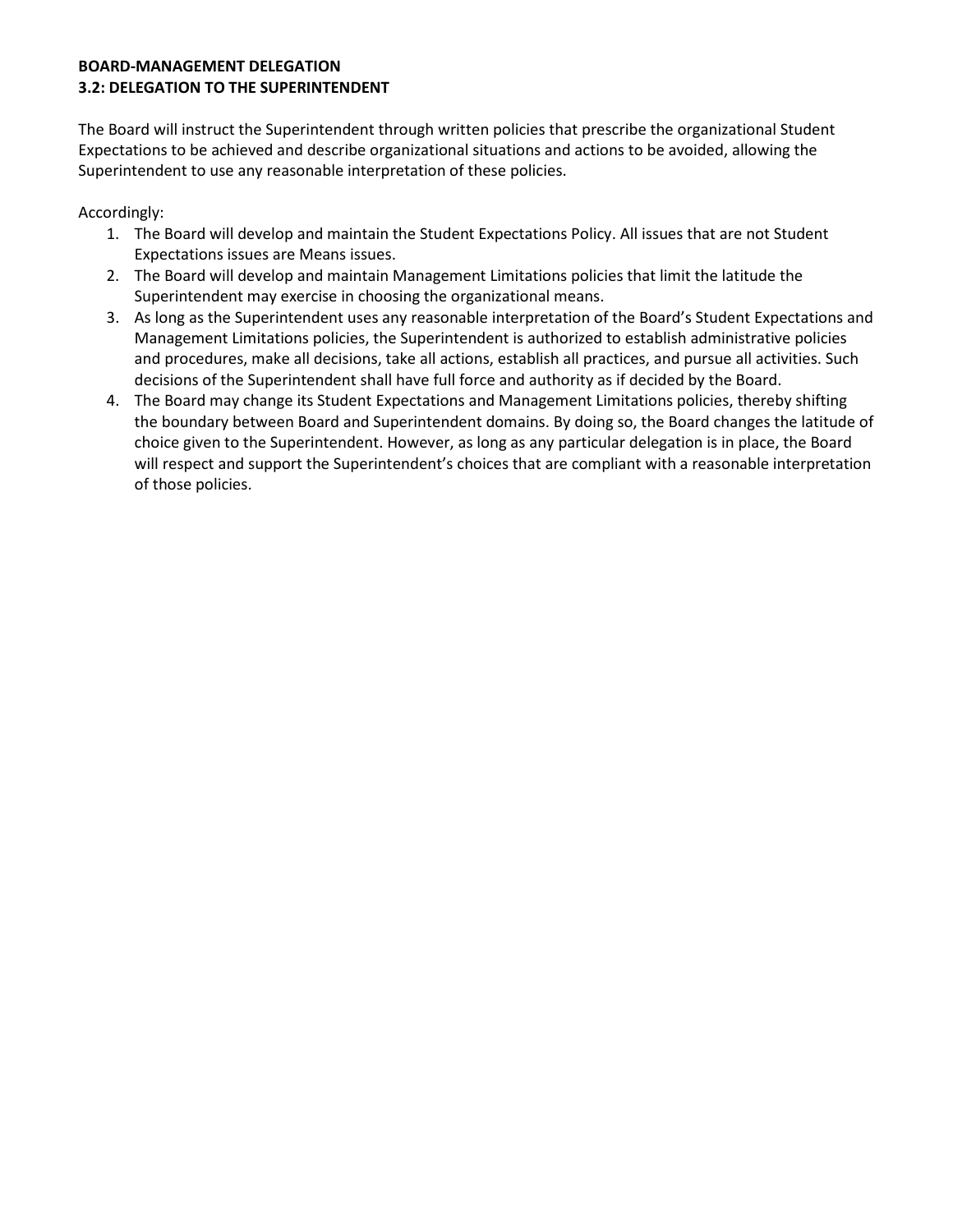# **BOARD-MANAGEMENT DELEGATION 3.2: DELEGATION TO THE SUPERINTENDENT**

The Board will instruct the Superintendent through written policies that prescribe the organizational Student Expectations to be achieved and describe organizational situations and actions to be avoided, allowing the Superintendent to use any reasonable interpretation of these policies.

Accordingly:

- 1. The Board will develop and maintain the Student Expectations Policy. All issues that are not Student Expectations issues are Means issues.
- 2. The Board will develop and maintain Management Limitations policies that limit the latitude the Superintendent may exercise in choosing the organizational means.
- 3. As long as the Superintendent uses any reasonable interpretation of the Board's Student Expectations and Management Limitations policies, the Superintendent is authorized to establish administrative policies and procedures, make all decisions, take all actions, establish all practices, and pursue all activities. Such decisions of the Superintendent shall have full force and authority as if decided by the Board.
- 4. The Board may change its Student Expectations and Management Limitations policies, thereby shifting the boundary between Board and Superintendent domains. By doing so, the Board changes the latitude of choice given to the Superintendent. However, as long as any particular delegation is in place, the Board will respect and support the Superintendent's choices that are compliant with a reasonable interpretation of those policies.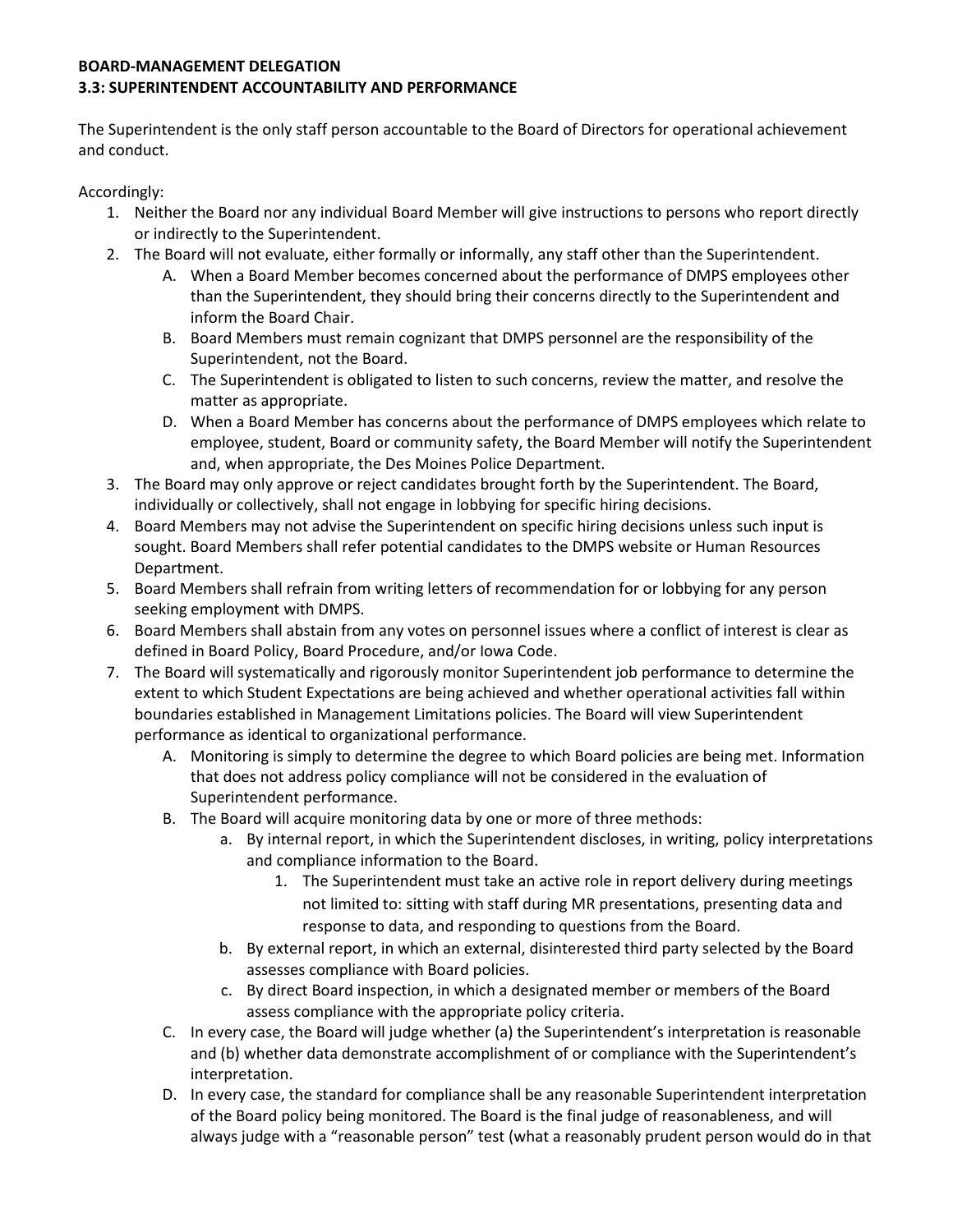#### **BOARD-MANAGEMENT DELEGATION 3.3: SUPERINTENDENT ACCOUNTABILITY AND PERFORMANCE**

The Superintendent is the only staff person accountable to the Board of Directors for operational achievement and conduct.

Accordingly:

- 1. Neither the Board nor any individual Board Member will give instructions to persons who report directly or indirectly to the Superintendent.
- 2. The Board will not evaluate, either formally or informally, any staff other than the Superintendent.
	- A. When a Board Member becomes concerned about the performance of DMPS employees other than the Superintendent, they should bring their concerns directly to the Superintendent and inform the Board Chair.
	- B. Board Members must remain cognizant that DMPS personnel are the responsibility of the Superintendent, not the Board.
	- C. The Superintendent is obligated to listen to such concerns, review the matter, and resolve the matter as appropriate.
	- D. When a Board Member has concerns about the performance of DMPS employees which relate to employee, student, Board or community safety, the Board Member will notify the Superintendent and, when appropriate, the Des Moines Police Department.
- 3. The Board may only approve or reject candidates brought forth by the Superintendent. The Board, individually or collectively, shall not engage in lobbying for specific hiring decisions.
- 4. Board Members may not advise the Superintendent on specific hiring decisions unless such input is sought. Board Members shall refer potential candidates to the DMPS website or Human Resources Department.
- 5. Board Members shall refrain from writing letters of recommendation for or lobbying for any person seeking employment with DMPS.
- 6. Board Members shall abstain from any votes on personnel issues where a conflict of interest is clear as defined in Board Policy, Board Procedure, and/or Iowa Code.
- 7. The Board will systematically and rigorously monitor Superintendent job performance to determine the extent to which Student Expectations are being achieved and whether operational activities fall within boundaries established in Management Limitations policies. The Board will view Superintendent performance as identical to organizational performance.
	- A. Monitoring is simply to determine the degree to which Board policies are being met. Information that does not address policy compliance will not be considered in the evaluation of Superintendent performance.
	- B. The Board will acquire monitoring data by one or more of three methods:
		- a. By internal report, in which the Superintendent discloses, in writing, policy interpretations and compliance information to the Board.
			- 1. The Superintendent must take an active role in report delivery during meetings not limited to: sitting with staff during MR presentations, presenting data and response to data, and responding to questions from the Board.
		- b. By external report, in which an external, disinterested third party selected by the Board assesses compliance with Board policies.
		- c. By direct Board inspection, in which a designated member or members of the Board assess compliance with the appropriate policy criteria.
	- C. In every case, the Board will judge whether (a) the Superintendent's interpretation is reasonable and (b) whether data demonstrate accomplishment of or compliance with the Superintendent's interpretation.
	- D. In every case, the standard for compliance shall be any reasonable Superintendent interpretation of the Board policy being monitored. The Board is the final judge of reasonableness, and will always judge with a "reasonable person" test (what a reasonably prudent person would do in that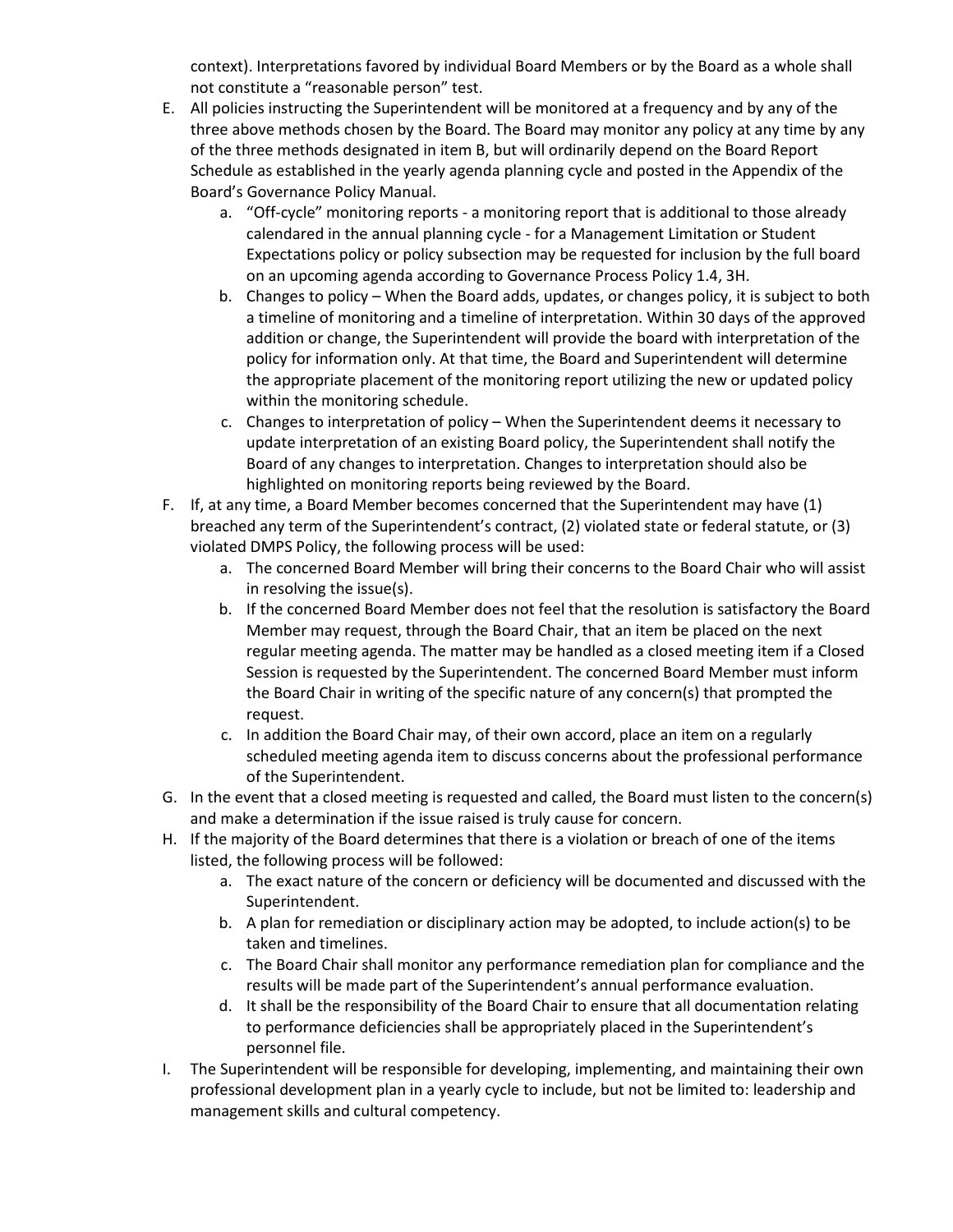context). Interpretations favored by individual Board Members or by the Board as a whole shall not constitute a "reasonable person" test.

- E. All policies instructing the Superintendent will be monitored at a frequency and by any of the three above methods chosen by the Board. The Board may monitor any policy at any time by any of the three methods designated in item B, but will ordinarily depend on the Board Report Schedule as established in the yearly agenda planning cycle and posted in the Appendix of the Board's Governance Policy Manual.
	- a. "Off-cycle" monitoring reports a monitoring report that is additional to those already calendared in the annual planning cycle - for a Management Limitation or Student Expectations policy or policy subsection may be requested for inclusion by the full board on an upcoming agenda according to Governance Process Policy 1.4, 3H.
	- b. Changes to policy When the Board adds, updates, or changes policy, it is subject to both a timeline of monitoring and a timeline of interpretation. Within 30 days of the approved addition or change, the Superintendent will provide the board with interpretation of the policy for information only. At that time, the Board and Superintendent will determine the appropriate placement of the monitoring report utilizing the new or updated policy within the monitoring schedule.
	- c. Changes to interpretation of policy When the Superintendent deems it necessary to update interpretation of an existing Board policy, the Superintendent shall notify the Board of any changes to interpretation. Changes to interpretation should also be highlighted on monitoring reports being reviewed by the Board.
- F. If, at any time, a Board Member becomes concerned that the Superintendent may have (1) breached any term of the Superintendent's contract, (2) violated state or federal statute, or (3) violated DMPS Policy, the following process will be used:
	- a. The concerned Board Member will bring their concerns to the Board Chair who will assist in resolving the issue(s).
	- b. If the concerned Board Member does not feel that the resolution is satisfactory the Board Member may request, through the Board Chair, that an item be placed on the next regular meeting agenda. The matter may be handled as a closed meeting item if a Closed Session is requested by the Superintendent. The concerned Board Member must inform the Board Chair in writing of the specific nature of any concern(s) that prompted the request.
	- c. In addition the Board Chair may, of their own accord, place an item on a regularly scheduled meeting agenda item to discuss concerns about the professional performance of the Superintendent.
- G. In the event that a closed meeting is requested and called, the Board must listen to the concern(s) and make a determination if the issue raised is truly cause for concern.
- H. If the majority of the Board determines that there is a violation or breach of one of the items listed, the following process will be followed:
	- a. The exact nature of the concern or deficiency will be documented and discussed with the Superintendent.
	- b. A plan for remediation or disciplinary action may be adopted, to include action(s) to be taken and timelines.
	- c. The Board Chair shall monitor any performance remediation plan for compliance and the results will be made part of the Superintendent's annual performance evaluation.
	- d. It shall be the responsibility of the Board Chair to ensure that all documentation relating to performance deficiencies shall be appropriately placed in the Superintendent's personnel file.
- I. The Superintendent will be responsible for developing, implementing, and maintaining their own professional development plan in a yearly cycle to include, but not be limited to: leadership and management skills and cultural competency.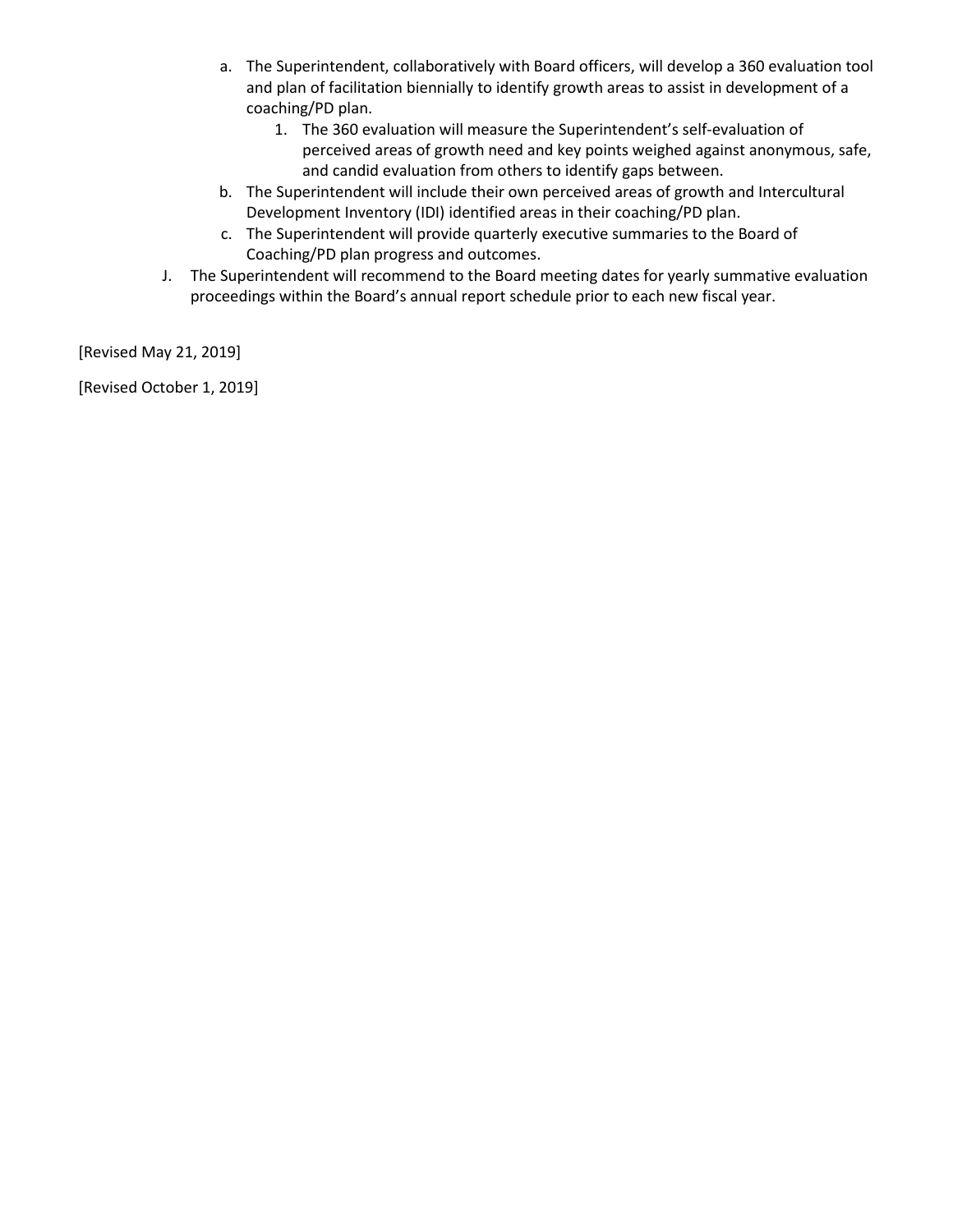- a. The Superintendent, collaboratively with Board officers, will develop a 360 evaluation tool and plan of facilitation biennially to identify growth areas to assist in development of a coaching/PD plan.
	- 1. The 360 evaluation will measure the Superintendent's self-evaluation of perceived areas of growth need and key points weighed against anonymous, safe, and candid evaluation from others to identify gaps between.
- b. The Superintendent will include their own perceived areas of growth and Intercultural Development Inventory (IDI) identified areas in their coaching/PD plan.
- c. The Superintendent will provide quarterly executive summaries to the Board of Coaching/PD plan progress and outcomes.
- J. The Superintendent will recommend to the Board meeting dates for yearly summative evaluation proceedings within the Board's annual report schedule prior to each new fiscal year.

[Revised May 21, 2019]

[Revised October 1, 2019]